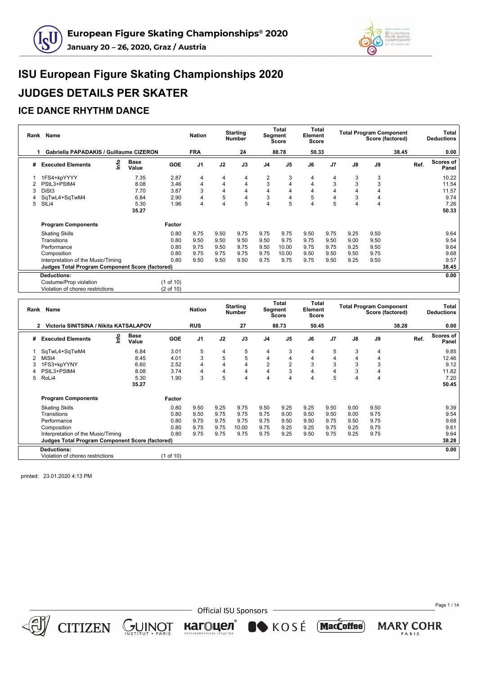



#### **ICE DANCE RHYTHM DANCE**

| Rank | Name                                            |                      |            | <b>Nation</b>  |      | <b>Starting</b><br><b>Number</b> |                | Total<br>Segment<br><b>Score</b> | <b>Total</b><br>Element<br>Score |                |               | <b>Total Program Component</b> | Score (factored) |      | Total<br><b>Deductions</b> |
|------|-------------------------------------------------|----------------------|------------|----------------|------|----------------------------------|----------------|----------------------------------|----------------------------------|----------------|---------------|--------------------------------|------------------|------|----------------------------|
|      | Gabriella PAPADAKIS / Guillaume CIZERON<br>1    |                      |            | <b>FRA</b>     |      | 24                               |                | 88.78                            | 50.33                            |                |               |                                | 38.45            |      | 0.00                       |
| #    | ۴<br><b>Executed Elements</b>                   | <b>Base</b><br>Value | <b>GOE</b> | J <sub>1</sub> | J2   | J3                               | J <sub>4</sub> | J <sub>5</sub>                   | J6                               | J7             | $\mathsf{J}8$ | J9                             |                  | Ref. | Scores of<br>Panel         |
|      | 1FS4+kpYYYY                                     | 7.35                 | 2.87       | 4              | 4    | 4                                | $\overline{2}$ | 3                                | 4                                | 4              | 3             | 3                              |                  |      | 10.22                      |
|      | PStL3+PStM4                                     | 8.08                 | 3.46       | 4              | 4    | $\overline{4}$                   | 3              | $\overline{4}$                   | 4                                | 3              | 3             | 3                              |                  |      | 11.54                      |
|      | DiSt3                                           | 7.70                 | 3.87       | 3              | 4    | 4                                | $\overline{4}$ | $\overline{4}$                   | 4                                |                |               |                                |                  |      | 11.57                      |
|      | SqTwL4+SqTwM4                                   | 6.84                 | 2.90       | 4              | 5    | 4                                | 3              | 4                                | 5                                | $\overline{4}$ | 3             |                                |                  |      | 9.74                       |
| 5    | SILi4                                           | 5.30                 | 1.96       | 4              | 4    | 5                                | $\overline{4}$ | 5                                | 4                                | 5              |               | $\overline{4}$                 |                  |      | 7.26                       |
|      |                                                 | 35.27                |            |                |      |                                  |                |                                  |                                  |                |               |                                |                  |      | 50.33                      |
|      | <b>Program Components</b>                       |                      | Factor     |                |      |                                  |                |                                  |                                  |                |               |                                |                  |      |                            |
|      | <b>Skating Skills</b>                           |                      | 0.80       | 9.75           | 9.50 | 9.75                             | 9.75           | 9.75                             | 9.50                             | 9.75           | 9.25          | 9.50                           |                  |      | 9.64                       |
|      | Transitions                                     |                      | 0.80       | 9.50           | 9.50 | 9.50                             | 9.50           | 9.75                             | 9.75                             | 9.50           | 9.00          | 9.50                           |                  |      | 9.54                       |
|      | Performance                                     |                      | 0.80       | 9.75           | 9.50 | 9.75                             | 9.50           | 10.00                            | 9.75                             | 9.75           | 9.25          | 9.50                           |                  |      | 9.64                       |
|      | Composition                                     |                      | 0.80       | 9.75           | 9.75 | 9.75                             | 9.75           | 10.00                            | 9.50                             | 9.50           | 9.50          | 9.75                           |                  |      | 9.68                       |
|      | Interpretation of the Music/Timing              |                      | 0.80       | 9.50           | 9.50 | 9.50                             | 9.75           | 9.75                             | 9.75                             | 9.50           | 9.25          | 9.50                           |                  |      | 9.57                       |
|      | Judges Total Program Component Score (factored) |                      |            |                |      |                                  |                |                                  |                                  |                |               |                                |                  |      | 38.45                      |
|      | <b>Deductions:</b>                              |                      |            |                |      |                                  |                |                                  |                                  |                |               |                                |                  |      | 0.00                       |
|      | Costume/Prop violation                          |                      | (1 of 10)  |                |      |                                  |                |                                  |                                  |                |               |                                |                  |      |                            |
|      | Violation of choreo restrictions                |                      | (2 of 10)  |                |      |                                  |                |                                  |                                  |                |               |                                |                  |      |                            |

| Rank | Name                                            |      |                      |            | <b>Nation</b>  |                | <b>Starting</b><br><b>Number</b> |                | Total<br>Segment<br>Score | Total<br>Element<br>Score |                |      | <b>Total Program Component</b> | Score (factored) |      | Total<br><b>Deductions</b> |
|------|-------------------------------------------------|------|----------------------|------------|----------------|----------------|----------------------------------|----------------|---------------------------|---------------------------|----------------|------|--------------------------------|------------------|------|----------------------------|
|      | Victoria SINITSINA / Nikita KATSALAPOV<br>2     |      |                      |            | <b>RUS</b>     |                | 27                               |                | 88.73                     | 50.45                     |                |      |                                | 38.28            |      | 0.00                       |
| #    | <b>Executed Elements</b>                        | ١nfo | <b>Base</b><br>Value | <b>GOE</b> | J <sub>1</sub> | J2             | J3                               | J <sub>4</sub> | J <sub>5</sub>            | J6                        | J <sub>7</sub> | J8   | J9                             |                  | Ref. | Scores of<br>Panel         |
|      | SqTwL4+SqTwM4                                   |      | 6.84                 | 3.01       | 5              | 4              | 5                                | 4              | 3                         | 4                         | 5              | 3    | 4                              |                  |      | 9.85                       |
|      | MiSt4                                           |      | 8.45                 | 4.01       | 3              | 5              | 5                                | 4              | 4                         | 4                         | 4              |      | 4                              |                  |      | 12.46                      |
|      | 1FS3+kpYYNY                                     |      | 6.60                 | 2.52       | 4              | 4              | $\overline{4}$                   | $\overline{2}$ | $\overline{2}$            | 3                         | 3              | 3    | 3                              |                  |      | 9.12                       |
|      | PStL3+PStM4                                     |      | 8.08                 | 3.74       | 4              | $\overline{4}$ | $\overline{4}$                   | 4              | 3                         | 4                         | $\overline{4}$ | 3    | 4                              |                  |      | 11.82                      |
| 5    | RoLi4                                           |      | 5.30                 | 1.90       | 3              | 5              | $\overline{4}$                   | 4              | 4                         | 4                         | 5              | 4    | $\overline{4}$                 |                  |      | 7.20                       |
|      |                                                 |      | 35.27                |            |                |                |                                  |                |                           |                           |                |      |                                |                  |      | 50.45                      |
|      | <b>Program Components</b>                       |      |                      | Factor     |                |                |                                  |                |                           |                           |                |      |                                |                  |      |                            |
|      | <b>Skating Skills</b>                           |      |                      | 0.80       | 9.50           | 9.25           | 9.75                             | 9.50           | 9.25                      | 9.25                      | 9.50           | 9.00 | 9.50                           |                  |      | 9.39                       |
|      | Transitions                                     |      |                      | 0.80       | 9.50           | 9.75           | 9.75                             | 9.75           | 9.00                      | 9.50                      | 9.50           | 9.00 | 9.75                           |                  |      | 9.54                       |
|      | Performance                                     |      |                      | 0.80       | 9.75           | 9.75           | 9.75                             | 9.75           | 9.50                      | 9.50                      | 9.75           | 9.50 | 9.75                           |                  |      | 9.68                       |
|      | Composition                                     |      |                      | 0.80       | 9.75           | 9.75           | 10.00                            | 9.75           | 9.25                      | 9.25                      | 9.75           | 9.25 | 9.75                           |                  |      | 9.61                       |
|      | Interpretation of the Music/Timing              |      |                      | 0.80       | 9.75           | 9.75           | 9.75                             | 9.75           | 9.25                      | 9.50                      | 9.75           | 9.25 | 9.75                           |                  |      | 9.64                       |
|      | Judges Total Program Component Score (factored) |      |                      |            |                |                |                                  |                |                           |                           |                |      |                                |                  |      | 38.28                      |
|      | <b>Deductions:</b>                              |      |                      |            |                |                |                                  |                |                           |                           |                |      |                                |                  |      | 0.00                       |
|      | Violation of choreo restrictions                |      |                      | (1 of 10)  |                |                |                                  |                |                           |                           |                |      |                                |                  |      |                            |

printed: 23.01.2020 4:13 PM

CITIZEN GUINOT

**Official ISU Sponsors** 

кагоцел®

KOSÉ MacCoffee

Page 1 / 14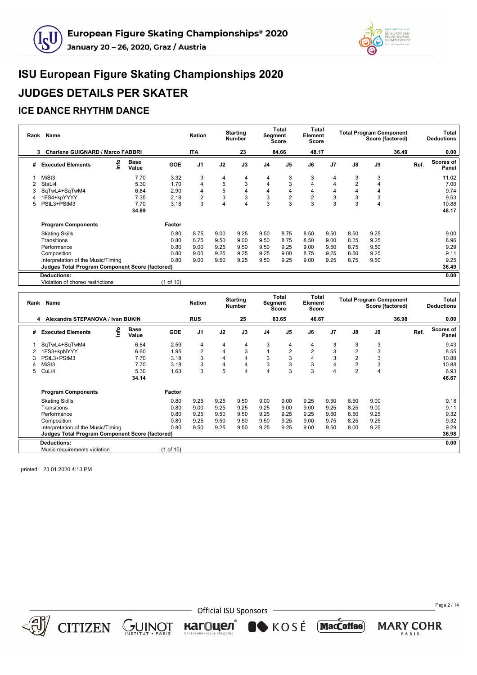



#### **ICE DANCE RHYTHM DANCE**

|   | Rank Name                                              |      |                      |            | <b>Nation</b>  |      | <b>Starting</b><br><b>Number</b> |                | Total<br>Segment<br>Score | Total<br>Element<br>Score |                |               | <b>Total Program Component</b><br>Score (factored) |       |      | Total<br><b>Deductions</b> |
|---|--------------------------------------------------------|------|----------------------|------------|----------------|------|----------------------------------|----------------|---------------------------|---------------------------|----------------|---------------|----------------------------------------------------|-------|------|----------------------------|
|   | <b>Charlene GUIGNARD / Marco FABBRI</b><br>3           |      |                      |            | <b>ITA</b>     |      | 23                               |                | 84.66                     | 48.17                     |                |               |                                                    | 36.49 |      | 0.00                       |
| # | <b>Executed Elements</b>                               | lnfo | <b>Base</b><br>Value | <b>GOE</b> | J <sub>1</sub> | J2   | J3                               | J <sub>4</sub> | J <sub>5</sub>            | J6                        | J <sub>7</sub> | $\mathsf{J}8$ | J9                                                 |       | Ref. | Scores of<br>Panel         |
|   | MiSt <sub>3</sub>                                      |      | 7.70                 | 3.32       | 3              | 4    | 4                                | 4              | 3                         | 3                         | 4              | 3             | 3                                                  |       |      | 11.02                      |
|   | StaLi4                                                 |      | 5.30                 | 1.70       | 4              | 5    | 3                                | 4              | 3                         | 4                         | 4              | 2             |                                                    |       |      | 7.00                       |
|   | SqTwL4+SqTwM4                                          |      | 6.84                 | 2.90       | 4              | 5    | 4                                | 4              | 4                         | 4                         | 4              |               | 4                                                  |       |      | 9.74                       |
|   | 1FS4+kpYYYY                                            |      | 7.35                 | 2.18       | 2              | 3    | 3                                | 3              | $\boldsymbol{2}$          | $\overline{\mathbf{c}}$   | 3              | 3             | 3                                                  |       |      | 9.53                       |
| 5 | PStL3+PStM3                                            |      | 7.70                 | 3.18       | 3              | 4    | $\overline{4}$                   | 3              | 3                         | 3                         | 3              | 3             | $\overline{4}$                                     |       |      | 10.88                      |
|   |                                                        |      | 34.89                |            |                |      |                                  |                |                           |                           |                |               |                                                    |       |      | 48.17                      |
|   | <b>Program Components</b>                              |      |                      | Factor     |                |      |                                  |                |                           |                           |                |               |                                                    |       |      |                            |
|   | <b>Skating Skills</b>                                  |      |                      | 0.80       | 8.75           | 9.00 | 9.25                             | 9.50           | 8.75                      | 8.50                      | 9.50           | 8.50          | 9.25                                               |       |      | 9.00                       |
|   | Transitions                                            |      |                      | 0.80       | 8.75           | 9.50 | 9.00                             | 9.50           | 8.75                      | 8.50                      | 9.00           | 8.25          | 9.25                                               |       |      | 8.96                       |
|   | Performance                                            |      |                      | 0.80       | 9.00           | 9.25 | 9.50                             | 9.50           | 9.25                      | 9.00                      | 9.50           | 8.75          | 9.50                                               |       |      | 9.29                       |
|   | Composition                                            |      |                      | 0.80       | 9.00           | 9.25 | 9.25                             | 9.25           | 9.00                      | 8.75                      | 9.25           | 8.50          | 9.25                                               |       |      | 9.11                       |
|   | Interpretation of the Music/Timing                     |      |                      | 0.80       | 9.00           | 9.50 | 9.25                             | 9.50           | 9.25                      | 9.00                      | 9.25           | 8.75          | 9.50                                               |       |      | 9.25                       |
|   | <b>Judges Total Program Component Score (factored)</b> |      |                      |            |                |      |                                  |                |                           |                           |                |               |                                                    |       |      | 36.49                      |
|   | <b>Deductions:</b>                                     |      |                      |            |                |      |                                  |                |                           |                           |                |               |                                                    |       |      | 0.00                       |

Violation of choreo restrictions (1 of 10)

| Rank | Name                                            |      |                      |            | <b>Nation</b>  |      | <b>Starting</b><br><b>Number</b> |                | <b>Total</b><br>Segment<br>Score | Total<br>Element<br>Score |                |                | <b>Total Program Component</b><br>Score (factored) |       |      | Total<br><b>Deductions</b> |
|------|-------------------------------------------------|------|----------------------|------------|----------------|------|----------------------------------|----------------|----------------------------------|---------------------------|----------------|----------------|----------------------------------------------------|-------|------|----------------------------|
|      | Alexandra STEPANOVA / Ivan BUKIN<br>4           |      |                      |            | <b>RUS</b>     |      | 25                               |                | 83.65                            | 46.67                     |                |                |                                                    | 36.98 |      | 0.00                       |
| #    | <b>Executed Elements</b>                        | info | <b>Base</b><br>Value | <b>GOE</b> | J <sub>1</sub> | J2   | J3                               | J <sub>4</sub> | J <sub>5</sub>                   | J6                        | J <sub>7</sub> | J8             | J9                                                 |       | Ref. | <b>Scores of</b><br>Panel  |
|      | SqTwL4+SqTwM4                                   |      | 6.84                 | 2.59       | 4              | 4    | 4                                | 3              | 4                                | 4                         | 3              | 3              | 3                                                  |       |      | 9.43                       |
|      | 1FS3+kpNYYY                                     |      | 6.60                 | 1.95       | $\overline{2}$ | 4    | 3                                |                | $\overline{2}$                   | 2                         | 3              | 2              | 3                                                  |       |      | 8.55                       |
| 3    | PStL3+PStM3                                     |      | 7.70                 | 3.18       | 3              | 4    | 4                                | 3              | 3                                | 4                         | 3              | $\overline{2}$ | 3                                                  |       |      | 10.88                      |
|      | MiSt <sub>3</sub>                               |      | 7.70                 | 3.18       | 3              |      | 4                                | 3              | 3                                | 3                         | 4              | $\overline{2}$ | 3                                                  |       |      | 10.88                      |
| 5    | CuLi4                                           |      | 5.30                 | 1.63       | 3              | 5    | $\overline{4}$                   | 4              | 3                                | 3                         | 4              | $\overline{2}$ | 4                                                  |       |      | 6.93                       |
|      |                                                 |      | 34.14                |            |                |      |                                  |                |                                  |                           |                |                |                                                    |       |      | 46.67                      |
|      | <b>Program Components</b>                       |      |                      | Factor     |                |      |                                  |                |                                  |                           |                |                |                                                    |       |      |                            |
|      | <b>Skating Skills</b>                           |      |                      | 0.80       | 9.25           | 9.25 | 9.50                             | 9.00           | 9.00                             | 9.25                      | 9.50           | 8.50           | 9.00                                               |       |      | 9.18                       |
|      | Transitions                                     |      |                      | 0.80       | 9.00           | 9.25 | 9.25                             | 9.25           | 9.00                             | 9.00                      | 9.25           | 8.25           | 9.00                                               |       |      | 9.11                       |
|      | Performance                                     |      |                      | 0.80       | 9.25           | 9.50 | 9.50                             | 9.25           | 9.25                             | 9.25                      | 9.50           | 8.50           | 9.25                                               |       |      | 9.32                       |
|      | Composition                                     |      |                      | 0.80       | 9.25           | 9.50 | 9.50                             | 9.50           | 9.25                             | 9.00                      | 9.75           | 8.25           | 9.25                                               |       |      | 9.32                       |
|      | Interpretation of the Music/Timing              |      |                      | 0.80       | 9.50           | 9.25 | 9.50                             | 9.25           | 9.25                             | 9.00                      | 9.50           | 8.00           | 9.25                                               |       |      | 9.29                       |
|      | Judges Total Program Component Score (factored) |      |                      |            |                |      |                                  |                |                                  |                           |                |                |                                                    |       |      | 36.98                      |
|      | <b>Deductions:</b>                              |      |                      |            |                |      |                                  |                |                                  |                           |                |                |                                                    |       |      | 0.00                       |
|      | Music requirements violation                    |      |                      | (1 of 10)  |                |      |                                  |                |                                  |                           |                |                |                                                    |       |      |                            |

printed: 23.01.2020 4:13 PM



 $CITIZEN \simeq \bigcup_{\text{NSTITUT}} \text{NISTITUT}$ 

- Official ISU Sponsors

кагоцел®

KOSÉ MacCoffee

Page 2 / 14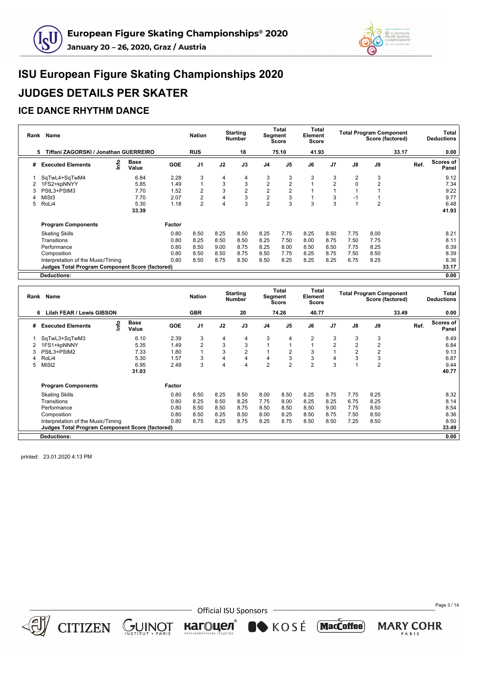



#### **ICE DANCE RHYTHM DANCE**

|   | Rank Name                                              |   |                      |            | <b>Nation</b>  |      | <b>Starting</b><br><b>Number</b> |                         | Total<br>Segment<br>Score | <b>Total</b><br>Element<br>Score |                |      | <b>Total Program Component</b><br>Score (factored) |       |      | Total<br><b>Deductions</b> |
|---|--------------------------------------------------------|---|----------------------|------------|----------------|------|----------------------------------|-------------------------|---------------------------|----------------------------------|----------------|------|----------------------------------------------------|-------|------|----------------------------|
|   | Tiffani ZAGORSKI / Jonathan GUERREIRO<br>5             |   |                      |            | <b>RUS</b>     |      | 18                               |                         | 75.10                     | 41.93                            |                |      |                                                    | 33.17 |      | 0.00                       |
| # | <b>Executed Elements</b>                               | e | <b>Base</b><br>Value | <b>GOE</b> | J <sub>1</sub> | J2   | J3                               | J <sub>4</sub>          | J <sub>5</sub>            | J6                               | J <sub>7</sub> | J8   | J9                                                 |       | Ref. | <b>Scores of</b><br>Panel  |
|   | SqTwL4+SqTwM4                                          |   | 6.84                 | 2.28       | 3              | 4    | 4                                | 3                       | 3                         | 3                                | 3              | 2    | 3                                                  |       |      | 9.12                       |
|   | 1FS2+kpNNYY                                            |   | 5.85                 | 1.49       |                | 3    | 3                                | 2                       | $\overline{2}$            |                                  | $\overline{2}$ |      | $\overline{2}$                                     |       |      | 7.34                       |
| 3 | PStL3+PStM3                                            |   | 7.70                 | 1.52       |                | 3    | $\overline{2}$                   | 2                       | $\overline{2}$            |                                  |                |      |                                                    |       |      | 9.22                       |
|   | MiSt3                                                  |   | 7.70                 | 2.07       |                | 4    | 3                                | $\overline{\mathbf{c}}$ | 3                         |                                  | 3              | -1   |                                                    |       |      | 9.77                       |
| 5 | RoLi4                                                  |   | 5.30                 | 1.18       | $\mathfrak{p}$ |      | 3                                | $\overline{2}$          | 3                         | 3                                | 3              |      | $\overline{2}$                                     |       |      | 6.48                       |
|   |                                                        |   | 33.39                |            |                |      |                                  |                         |                           |                                  |                |      |                                                    |       |      | 41.93                      |
|   | <b>Program Components</b>                              |   |                      | Factor     |                |      |                                  |                         |                           |                                  |                |      |                                                    |       |      |                            |
|   | <b>Skating Skills</b>                                  |   |                      | 0.80       | 8.50           | 8.25 | 8.50                             | 8.25                    | 7.75                      | 8.25                             | 8.50           | 7.75 | 8.00                                               |       |      | 8.21                       |
|   | Transitions                                            |   |                      | 0.80       | 8.25           | 8.50 | 8.50                             | 8.25                    | 7.50                      | 8.00                             | 8.75           | 7.50 | 7.75                                               |       |      | 8.11                       |
|   | Performance                                            |   |                      | 0.80       | 8.50           | 9.00 | 8.75                             | 8.25                    | 8.00                      | 8.50                             | 8.50           | 7.75 | 8.25                                               |       |      | 8.39                       |
|   | Composition                                            |   |                      | 0.80       | 8.50           | 8.50 | 8.75                             | 8.50                    | 7.75                      | 8.25                             | 8.75           | 7.50 | 8.50                                               |       |      | 8.39                       |
|   | Interpretation of the Music/Timing                     |   |                      | 0.80       | 8.50           | 8.75 | 8.50                             | 8.50                    | 8.25                      | 8.25                             | 8.25           | 6.75 | 8.25                                               |       |      | 8.36                       |
|   | <b>Judges Total Program Component Score (factored)</b> |   |                      |            |                |      |                                  |                         |                           |                                  |                |      |                                                    |       |      | 33.17                      |
|   | Deductions:                                            |   |                      |            |                |      |                                  |                         |                           |                                  |                |      |                                                    |       |      | 0.00                       |

|   | Rank Name                                              |   |                      |            | <b>Nation</b>  |      | <b>Starting</b><br><b>Number</b> | Segment        | <b>Total</b><br>Score | Total<br>Element<br><b>Score</b> |                |      | <b>Total Program Component</b><br>Score (factored) |       |      | Total<br><b>Deductions</b> |
|---|--------------------------------------------------------|---|----------------------|------------|----------------|------|----------------------------------|----------------|-----------------------|----------------------------------|----------------|------|----------------------------------------------------|-------|------|----------------------------|
|   | <b>Lilah FEAR / Lewis GIBSON</b><br>6                  |   |                      |            | <b>GBR</b>     |      | 20                               |                | 74.26                 | 40.77                            |                |      |                                                    | 33.49 |      | 0.00                       |
| # | <b>Executed Elements</b>                               | 울 | <b>Base</b><br>Value | <b>GOE</b> | J1             | J2   | J3                               | J <sub>4</sub> | J5                    | J6                               | J <sub>7</sub> | J8   | J9                                                 |       | Ref. | Scores of<br>Panel         |
|   | SqTwL3+SqTwM3                                          |   | 6.10                 | 2.39       | 3              | 4    | 4                                | 3              | 4                     | $\overline{2}$                   | 3              | 3    | 3                                                  |       |      | 8.49                       |
|   | 1FS1+kpNNNY                                            |   | 5.35                 | 1.49       | $\overline{2}$ | 3    | 3                                |                | $\mathbf{1}$          |                                  | $\overline{2}$ | 2    | $\overline{2}$                                     |       |      | 6.84                       |
| 3 | PStL3+PStM2                                            |   | 7.33                 | 1.80       |                | 3    | 2                                |                | 2                     | 3                                |                | 2    | $\overline{2}$                                     |       |      | 9.13                       |
|   | RoLi4                                                  |   | 5.30                 | 1.57       | 3              | 4    | 4                                | 4              | 3                     | 3                                | 4              | 3    | 3                                                  |       |      | 6.87                       |
| 5 | MiSt <sub>2</sub>                                      |   | 6.95                 | 2.49       | 3              | 4    | 4                                | $\overline{2}$ | $\overline{2}$        | $\overline{2}$                   | 3              |      | $\overline{2}$                                     |       |      | 9.44                       |
|   |                                                        |   | 31.03                |            |                |      |                                  |                |                       |                                  |                |      |                                                    |       |      | 40.77                      |
|   | <b>Program Components</b>                              |   |                      | Factor     |                |      |                                  |                |                       |                                  |                |      |                                                    |       |      |                            |
|   | <b>Skating Skills</b>                                  |   |                      | 0.80       | 8.50           | 8.25 | 8.50                             | 8.00           | 8.50                  | 8.25                             | 8.75           | 7.75 | 8.25                                               |       |      | 8.32                       |
|   | Transitions                                            |   |                      | 0.80       | 8.25           | 8.50 | 8.25                             | 7.75           | 8.00                  | 8.25                             | 8.25           | 6.75 | 8.25                                               |       |      | 8.14                       |
|   | Performance                                            |   |                      | 0.80       | 8.50           | 8.50 | 8.75                             | 8.50           | 8.50                  | 8.50                             | 9.00           | 7.75 | 8.50                                               |       |      | 8.54                       |
|   | Composition                                            |   |                      | 0.80       | 8.50           | 8.25 | 8.50                             | 8.00           | 8.25                  | 8.50                             | 8.75           | 7.50 | 8.50                                               |       |      | 8.36                       |
|   | Interpretation of the Music/Timing                     |   |                      | 0.80       | 8.75           | 8.25 | 8.75                             | 8.25           | 8.75                  | 8.50                             | 8.50           | 7.25 | 8.50                                               |       |      | 8.50                       |
|   | <b>Judges Total Program Component Score (factored)</b> |   |                      |            |                |      |                                  |                |                       |                                  |                |      |                                                    |       |      | 33.49                      |
|   | <b>Deductions:</b>                                     |   |                      |            |                |      |                                  |                |                       |                                  |                |      |                                                    |       |      | 0.00                       |

printed: 23.01.2020 4:13 PM



 $CITIZEN \simeq \bigcup_{\text{NS TITUT}} \text{NISTIUT}$ 

**Official ISU Sponsors** 

кагоцел®

KOSÉ MacCoffee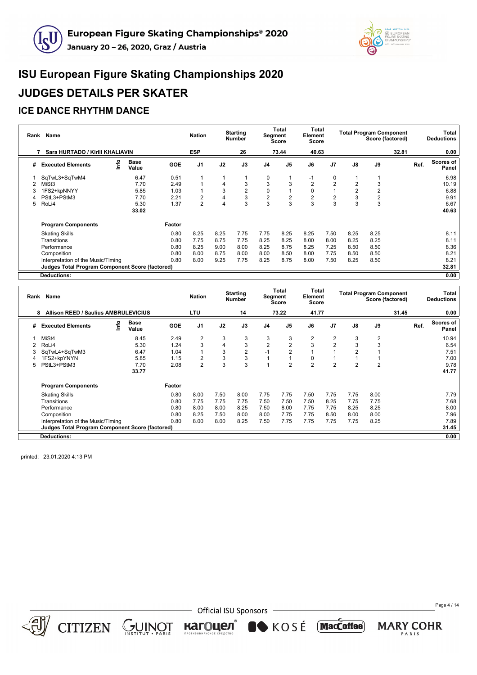



### **ICE DANCE RHYTHM DANCE**

|   | Rank Name                                              |      |                      |            | <b>Nation</b>  |      | <b>Starting</b><br><b>Number</b> |                | Total<br>Segment<br>Score | <b>Total</b><br>Element<br>Score |                |      | <b>Total Program Component</b><br>Score (factored) |       | Total<br><b>Deductions</b> |
|---|--------------------------------------------------------|------|----------------------|------------|----------------|------|----------------------------------|----------------|---------------------------|----------------------------------|----------------|------|----------------------------------------------------|-------|----------------------------|
|   | Sara HURTADO / Kirill KHALIAVIN                        |      |                      |            | <b>ESP</b>     |      | 26                               |                | 73.44                     | 40.63                            |                |      |                                                    | 32.81 | 0.00                       |
| # | <b>Executed Elements</b>                               | lnfo | <b>Base</b><br>Value | <b>GOE</b> | J <sub>1</sub> | J2   | J3                               | J <sub>4</sub> | J <sub>5</sub>            | J6                               | J <sub>7</sub> | J8   | J9                                                 |       | Scores of<br>Ref.<br>Panel |
|   | SqTwL3+SqTwM4                                          |      | 6.47                 | 0.51       |                |      |                                  | 0              |                           | $-1$                             | 0              |      |                                                    |       | 6.98                       |
|   | MiSt <sub>3</sub>                                      |      | 7.70                 | 2.49       |                | 4    | 3                                | 3              | 3                         | 2                                | $\overline{2}$ | 2    | 3                                                  |       | 10.19                      |
|   | 1FS2+kpNNYY                                            |      | 5.85                 | 1.03       |                | 3    | $\overline{2}$                   | 0              |                           | 0                                |                |      | 2                                                  |       | 6.88                       |
|   | PStL3+PStM3                                            |      | 7.70                 | 2.21       |                | 4    | 3                                | 2              | $\overline{2}$            | 2                                | $\overline{2}$ | 3    | $\overline{2}$                                     |       | 9.91                       |
| 5 | RoLi4                                                  |      | 5.30                 | 1.37       | $\overline{2}$ | 4    | 3                                | 3              | 3                         | 3                                | 3              | 3    | 3                                                  |       | 6.67                       |
|   |                                                        |      | 33.02                |            |                |      |                                  |                |                           |                                  |                |      |                                                    |       | 40.63                      |
|   | <b>Program Components</b>                              |      |                      | Factor     |                |      |                                  |                |                           |                                  |                |      |                                                    |       |                            |
|   | <b>Skating Skills</b>                                  |      |                      | 0.80       | 8.25           | 8.25 | 7.75                             | 7.75           | 8.25                      | 8.25                             | 7.50           | 8.25 | 8.25                                               |       | 8.11                       |
|   | Transitions                                            |      |                      | 0.80       | 7.75           | 8.75 | 7.75                             | 8.25           | 8.25                      | 8.00                             | 8.00           | 8.25 | 8.25                                               |       | 8.11                       |
|   | Performance                                            |      |                      | 0.80       | 8.25           | 9.00 | 8.00                             | 8.25           | 8.75                      | 8.25                             | 7.25           | 8.50 | 8.50                                               |       | 8.36                       |
|   | Composition                                            |      |                      | 0.80       | 8.00           | 8.75 | 8.00                             | 8.00           | 8.50                      | 8.00                             | 7.75           | 8.50 | 8.50                                               |       | 8.21                       |
|   | Interpretation of the Music/Timing                     |      |                      | 0.80       | 8.00           | 9.25 | 7.75                             | 8.25           | 8.75                      | 8.00                             | 7.50           | 8.25 | 8.50                                               |       | 8.21                       |
|   | <b>Judges Total Program Component Score (factored)</b> |      |                      |            |                |      |                                  |                |                           |                                  |                |      |                                                    |       | 32.81                      |
|   | Deductions:                                            |      |                      |            |                |      |                                  |                |                           |                                  |                |      |                                                    |       | 0.00                       |

|   | Rank Name                                              |      |                      |            | <b>Nation</b>  |      | <b>Starting</b><br><b>Number</b> |                | Total<br>Segment<br>Score | Total<br>Element<br>Score |                |                | <b>Total Program Component</b><br>Score (factored) |       |      | Total<br><b>Deductions</b> |
|---|--------------------------------------------------------|------|----------------------|------------|----------------|------|----------------------------------|----------------|---------------------------|---------------------------|----------------|----------------|----------------------------------------------------|-------|------|----------------------------|
|   | <b>Allison REED / Saulius AMBRULEVICIUS</b><br>8       |      |                      |            | <b>LTU</b>     |      | 14                               |                | 73.22                     | 41.77                     |                |                |                                                    | 31.45 |      | 0.00                       |
| # | <b>Executed Elements</b>                               | lnfo | <b>Base</b><br>Value | <b>GOE</b> | J <sub>1</sub> | J2   | J3                               | J <sub>4</sub> | J <sub>5</sub>            | J6                        | J <sub>7</sub> | J8             | J9                                                 |       | Ref. | Scores of<br>Panel         |
|   | MiSt4                                                  |      | 8.45                 | 2.49       | 2              | 3    | 3                                | 3              | 3                         | $\overline{2}$            | 2              | 3              | 2                                                  |       |      | 10.94                      |
|   | RoLi4                                                  |      | 5.30                 | 1.24       | 3              |      | 3                                | $\overline{2}$ | $\overline{2}$            | 3                         | $\overline{2}$ | 3              | 3                                                  |       |      | 6.54                       |
|   | SqTwL4+SqTwM3                                          |      | 6.47                 | 1.04       |                | 3    | $\overline{2}$                   | $-1$           | $\overline{2}$            |                           |                | $\overline{2}$ |                                                    |       |      | 7.51                       |
|   | 1FS2+kpYNYN                                            |      | 5.85                 | 1.15       | 2              | 3    | 3                                |                |                           | 0                         |                |                |                                                    |       |      | 7.00                       |
| 5 | PStL3+PStM3                                            |      | 7.70                 | 2.08       | $\overline{2}$ | 3    | 3                                |                | $\overline{2}$            | $\overline{2}$            | $\overline{2}$ | $\overline{2}$ | $\overline{2}$                                     |       |      | 9.78                       |
|   |                                                        |      | 33.77                |            |                |      |                                  |                |                           |                           |                |                |                                                    |       |      | 41.77                      |
|   | <b>Program Components</b>                              |      |                      | Factor     |                |      |                                  |                |                           |                           |                |                |                                                    |       |      |                            |
|   | <b>Skating Skills</b>                                  |      |                      | 0.80       | 8.00           | 7.50 | 8.00                             | 7.75           | 7.75                      | 7.50                      | 7.75           | 7.75           | 8.00                                               |       |      | 7.79                       |
|   | Transitions                                            |      |                      | 0.80       | 7.75           | 7.75 | 7.75                             | 7.50           | 7.50                      | 7.50                      | 8.25           | 7.75           | 7.75                                               |       |      | 7.68                       |
|   | Performance                                            |      |                      | 0.80       | 8.00           | 8.00 | 8.25                             | 7.50           | 8.00                      | 7.75                      | 7.75           | 8.25           | 8.25                                               |       |      | 8.00                       |
|   | Composition                                            |      |                      | 0.80       | 8.25           | 7.50 | 8.00                             | 8.00           | 7.75                      | 7.75                      | 8.50           | 8.00           | 8.00                                               |       |      | 7.96                       |
|   | Interpretation of the Music/Timing                     |      |                      | 0.80       | 8.00           | 8.00 | 8.25                             | 7.50           | 7.75                      | 7.75                      | 7.75           | 7.75           | 8.25                                               |       |      | 7.89                       |
|   | <b>Judges Total Program Component Score (factored)</b> |      |                      |            |                |      |                                  |                |                           |                           |                |                |                                                    |       |      | 31.45                      |
|   | <b>Deductions:</b>                                     |      |                      |            |                |      |                                  |                |                           |                           |                |                |                                                    |       |      | 0.00                       |

printed: 23.01.2020 4:13 PM



 $CITIZEN \simeq \bigcup_{\text{NS TITUT}} \text{NISTIUT}$ 

**Official ISU Sponsors** 

кагоцел®

KOSÉ MacCoffee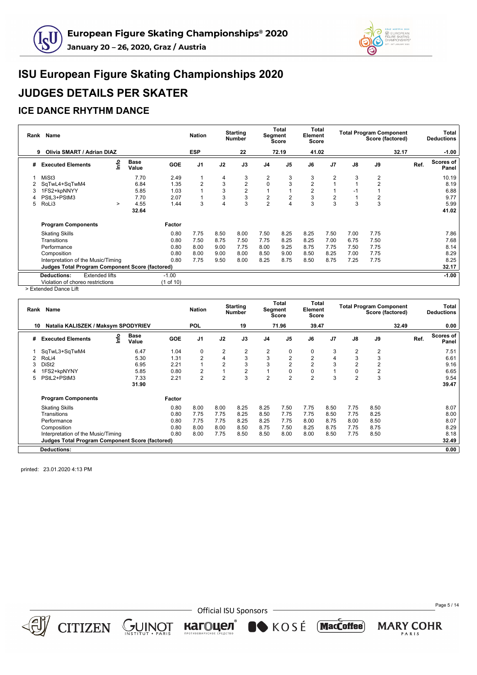



#### **ICE DANCE RHYTHM DANCE**

|   | Rank Name                                              |                      |            | <b>Nation</b>  |      | <b>Starting</b><br><b>Number</b> |                | Total<br>Segment<br><b>Score</b> | Total<br>Element<br><b>Score</b> |                |      | <b>Total Program Component</b><br>Score (factored) |       |      | Total<br><b>Deductions</b> |
|---|--------------------------------------------------------|----------------------|------------|----------------|------|----------------------------------|----------------|----------------------------------|----------------------------------|----------------|------|----------------------------------------------------|-------|------|----------------------------|
|   | Olivia SMART / Adrian DIAZ<br>9                        |                      |            | <b>ESP</b>     |      | 22                               |                | 72.19                            | 41.02                            |                |      |                                                    | 32.17 |      | $-1.00$                    |
| # | ۴o<br><b>Executed Elements</b>                         | <b>Base</b><br>Value | <b>GOE</b> | J <sub>1</sub> | J2   | J3                               | J <sub>4</sub> | J <sub>5</sub>                   | J6                               | J <sub>7</sub> | J8   | J9                                                 |       | Ref. | Scores of<br>Panel         |
|   | MiSt3                                                  | 7.70                 | 2.49       |                | 4    | 3                                | 2              | 3                                | 3                                | $\overline{2}$ | 3    | $\overline{2}$                                     |       |      | 10.19                      |
|   | SqTwL4+SqTwM4                                          | 6.84                 | 1.35       | $\overline{2}$ | 3    | $\overline{2}$                   | $\mathbf 0$    | 3                                | $\overline{2}$                   |                |      | $\overline{2}$                                     |       |      | 8.19                       |
| 3 | 1FS2+kpNNYY                                            | 5.85                 | 1.03       |                | 3    | $\overline{2}$                   |                |                                  | $\overline{2}$                   |                | -1   |                                                    |       |      | 6.88                       |
|   | PStL3+PStM3                                            | 7.70                 | 2.07       |                | 3    | 3                                | 2              | $\overline{2}$                   | 3                                | $\overline{2}$ |      | $\overline{2}$                                     |       |      | 9.77                       |
| 5 | RoLi3<br>$\geq$                                        | 4.55                 | 1.44       | 3              |      | 3                                | $\overline{2}$ | 4                                | 3                                | 3              |      | 3                                                  |       |      | 5.99                       |
|   |                                                        | 32.64                |            |                |      |                                  |                |                                  |                                  |                |      |                                                    |       |      | 41.02                      |
|   | <b>Program Components</b>                              |                      | Factor     |                |      |                                  |                |                                  |                                  |                |      |                                                    |       |      |                            |
|   | <b>Skating Skills</b>                                  |                      | 0.80       | 7.75           | 8.50 | 8.00                             | 7.50           | 8.25                             | 8.25                             | 7.50           | 7.00 | 7.75                                               |       |      | 7.86                       |
|   | Transitions                                            |                      | 0.80       | 7.50           | 8.75 | 7.50                             | 7.75           | 8.25                             | 8.25                             | 7.00           | 6.75 | 7.50                                               |       |      | 7.68                       |
|   | Performance                                            |                      | 0.80       | 8.00           | 9.00 | 7.75                             | 8.00           | 9.25                             | 8.75                             | 7.75           | 7.50 | 7.75                                               |       |      | 8.14                       |
|   | Composition                                            |                      | 0.80       | 8.00           | 9.00 | 8.00                             | 8.50           | 9.00                             | 8.50                             | 8.25           | 7.00 | 7.75                                               |       |      | 8.29                       |
|   | Interpretation of the Music/Timing                     |                      | 0.80       | 7.75           | 9.50 | 8.00                             | 8.25           | 8.75                             | 8.50                             | 8.75           | 7.25 | 7.75                                               |       |      | 8.25                       |
|   | <b>Judges Total Program Component Score (factored)</b> |                      |            |                |      |                                  |                |                                  |                                  |                |      |                                                    |       |      | 32.17                      |
|   | <b>Extended lifts</b><br><b>Deductions:</b>            |                      | $-1.00$    |                |      |                                  |                |                                  |                                  |                |      |                                                    |       |      | $-1.00$                    |
|   | Violation of choreo restrictions                       |                      | (1 of 10)  |                |      |                                  |                |                                  |                                  |                |      |                                                    |       |      |                            |

> Extended Dance Lift

|    | Rank Name                                       |      |               |            | <b>Nation</b>  |                | <b>Starting</b><br><b>Number</b> | <b>Segment</b> | <b>Total</b><br>Score | Total<br>Element<br>Score |                |                | <b>Total Program Component</b><br>Score (factored) |       |      | Total<br><b>Deductions</b> |
|----|-------------------------------------------------|------|---------------|------------|----------------|----------------|----------------------------------|----------------|-----------------------|---------------------------|----------------|----------------|----------------------------------------------------|-------|------|----------------------------|
| 10 | Natalia KALISZEK / Maksym SPODYRIEV             |      |               |            | <b>POL</b>     |                | 19                               |                | 71.96                 | 39.47                     |                |                |                                                    | 32.49 |      | 0.00                       |
| #  | <b>Executed Elements</b>                        | Info | Base<br>Value | <b>GOE</b> | J <sub>1</sub> | J2             | J3                               | J4             | J <sub>5</sub>        | J6                        | J <sub>7</sub> | J8             | J9                                                 |       | Ref. | <b>Scores of</b><br>Panel  |
|    | SqTwL3+SqTwM4                                   |      | 6.47          | 1.04       | 0              | 2              | 2                                | 2              | 0                     | 0                         | 3              | 2              | $\overline{c}$                                     |       |      | 7.51                       |
|    | RoLi4                                           |      | 5.30          | 1.31       | $\overline{2}$ | 4              | 3                                | 3              | $\overline{c}$        | $\overline{2}$            | 4              | 3              | 3                                                  |       |      | 6.61                       |
| З  | DiSt <sub>2</sub>                               |      | 6.95          | 2.21       |                | $\overline{2}$ | 3                                | 3              | $\overline{2}$        | $\overline{2}$            | 3              | 2              | $\overline{2}$                                     |       |      | 9.16                       |
|    | 1FS2+kpNYNY                                     |      | 5.85          | 0.80       | $\overline{2}$ |                | $\overline{2}$                   | $\overline{1}$ | 0                     | 0                         |                | 0              | 2                                                  |       |      | 6.65                       |
| 5  | PStL2+PStM3                                     |      | 7.33          | 2.21       | $\overline{2}$ | $\overline{2}$ | 3                                | $\overline{2}$ | $\overline{2}$        | $\overline{2}$            | 3              | $\overline{2}$ | 3                                                  |       |      | 9.54                       |
|    |                                                 |      | 31.90         |            |                |                |                                  |                |                       |                           |                |                |                                                    |       |      | 39.47                      |
|    | <b>Program Components</b>                       |      |               | Factor     |                |                |                                  |                |                       |                           |                |                |                                                    |       |      |                            |
|    | <b>Skating Skills</b>                           |      |               | 0.80       | 8.00           | 8.00           | 8.25                             | 8.25           | 7.50                  | 7.75                      | 8.50           | 7.75           | 8.50                                               |       |      | 8.07                       |
|    | Transitions                                     |      |               | 0.80       | 7.75           | 7.75           | 8.25                             | 8.50           | 7.75                  | 7.75                      | 8.50           | 7.75           | 8.25                                               |       |      | 8.00                       |
|    | Performance                                     |      |               | 0.80       | 7.75           | 7.75           | 8.25                             | 8.25           | 7.75                  | 8.00                      | 8.75           | 8.00           | 8.50                                               |       |      | 8.07                       |
|    | Composition                                     |      |               | 0.80       | 8.00           | 8.00           | 8.50                             | 8.75           | 7.50                  | 8.25                      | 8.75           | 7.75           | 8.75                                               |       |      | 8.29                       |
|    | Interpretation of the Music/Timing              |      |               | 0.80       | 8.00           | 7.75           | 8.50                             | 8.50           | 8.00                  | 8.00                      | 8.50           | 7.75           | 8.50                                               |       |      | 8.18                       |
|    | Judges Total Program Component Score (factored) |      |               |            |                |                |                                  |                |                       |                           |                |                |                                                    |       |      | 32.49                      |
|    | <b>Deductions:</b>                              |      |               |            |                |                |                                  |                |                       |                           |                |                |                                                    |       |      | 0.00                       |

printed: 23.01.2020 4:13 PM



CITIZEN GUINOT

- Official ISU Sponsors

KOSÉ MacCoffee)

кагоцел

Page 5 / 14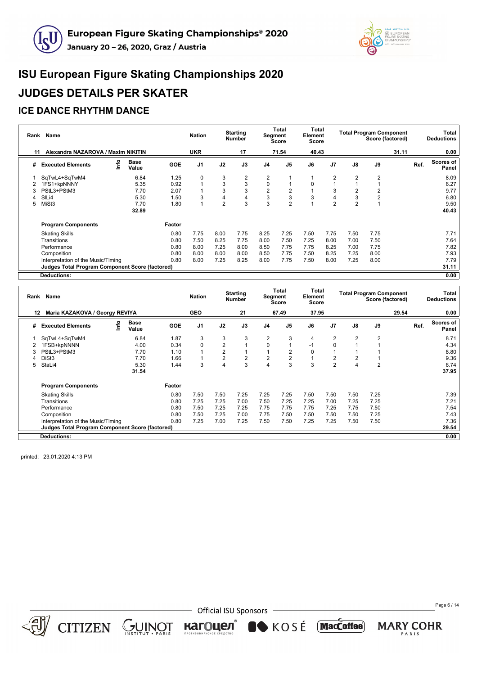



#### **ICE DANCE RHYTHM DANCE**

| Rank | Name                                                   |      |                      |            | <b>Nation</b> |      | <b>Starting</b><br><b>Number</b> |             | Total<br>Segment<br>Score | <b>Total</b><br>Element<br>Score |                |                | <b>Total Program Component</b><br>Score (factored) |       |      | Total<br><b>Deductions</b> |
|------|--------------------------------------------------------|------|----------------------|------------|---------------|------|----------------------------------|-------------|---------------------------|----------------------------------|----------------|----------------|----------------------------------------------------|-------|------|----------------------------|
| 11   | Alexandra NAZAROVA / Maxim NIKITIN                     |      |                      |            | <b>UKR</b>    |      | 17                               |             | 71.54                     | 40.43                            |                |                |                                                    | 31.11 |      | 0.00                       |
| #    | <b>Executed Elements</b>                               | ١nfo | <b>Base</b><br>Value | <b>GOE</b> | J1            | J2   | J3                               | J4          | J <sub>5</sub>            | J6                               | J <sub>7</sub> | J8             | J9                                                 |       | Ref. | Scores of<br>Panel         |
|      | SqTwL4+SqTwM4                                          |      | 6.84                 | 1.25       | 0             | 3    | 2                                | 2           |                           |                                  | 2              | 2              | $\overline{2}$                                     |       |      | 8.09                       |
|      | 1FS1+kpNNNY                                            |      | 5.35                 | 0.92       |               | 3    | 3                                | $\mathbf 0$ |                           | $\Omega$                         |                |                |                                                    |       |      | 6.27                       |
| 3    | PStL3+PStM3                                            |      | 7.70                 | 2.07       |               | 3    | 3                                | 2           | 2                         |                                  | 3              |                |                                                    |       |      | 9.77                       |
|      | SILi4                                                  |      | 5.30                 | 1.50       | 3             | 4    | 4                                | 3           | 3                         | 3                                | 4              | 3              | $\overline{2}$                                     |       |      | 6.80                       |
| 5    | MiSt3                                                  |      | 7.70                 | 1.80       |               | 2    | 3                                | 3           | $\overline{2}$            |                                  | $\overline{2}$ | $\overline{2}$ |                                                    |       |      | 9.50                       |
|      |                                                        |      | 32.89                |            |               |      |                                  |             |                           |                                  |                |                |                                                    |       |      | 40.43                      |
|      | <b>Program Components</b>                              |      |                      | Factor     |               |      |                                  |             |                           |                                  |                |                |                                                    |       |      |                            |
|      | <b>Skating Skills</b>                                  |      |                      | 0.80       | 7.75          | 8.00 | 7.75                             | 8.25        | 7.25                      | 7.50                             | 7.75           | 7.50           | 7.75                                               |       |      | 7.71                       |
|      | Transitions                                            |      |                      | 0.80       | 7.50          | 8.25 | 7.75                             | 8.00        | 7.50                      | 7.25                             | 8.00           | 7.00           | 7.50                                               |       |      | 7.64                       |
|      | Performance                                            |      |                      | 0.80       | 8.00          | 7.25 | 8.00                             | 8.50        | 7.75                      | 7.75                             | 8.25           | 7.00           | 7.75                                               |       |      | 7.82                       |
|      | Composition                                            |      |                      | 0.80       | 8.00          | 8.00 | 8.00                             | 8.50        | 7.75                      | 7.50                             | 8.25           | 7.25           | 8.00                                               |       |      | 7.93                       |
|      | Interpretation of the Music/Timing                     |      |                      | 0.80       | 8.00          | 7.25 | 8.25                             | 8.00        | 7.75                      | 7.50                             | 8.00           | 7.25           | 8.00                                               |       |      | 7.79                       |
|      | <b>Judges Total Program Component Score (factored)</b> |      |                      |            |               |      |                                  |             |                           |                                  |                |                |                                                    |       |      | 31.11                      |
|      | <b>Deductions:</b>                                     |      |                      |            |               |      |                                  |             |                           |                                  |                |                |                                                    |       |      | 0.00                       |

|     | Rank Name                                              |    |                      |            | <b>Nation</b>  |                | <b>Starting</b><br><b>Number</b> |                | Total<br>Segment<br>Score | <b>Total</b><br>Element<br>Score |                |      | <b>Total Program Component</b><br>Score (factored) |       |      | Total<br><b>Deductions</b> |
|-----|--------------------------------------------------------|----|----------------------|------------|----------------|----------------|----------------------------------|----------------|---------------------------|----------------------------------|----------------|------|----------------------------------------------------|-------|------|----------------------------|
| 12. | Maria KAZAKOVA / Georgy REVIYA                         |    |                      |            | <b>GEO</b>     |                | 21                               |                | 67.49                     | 37.95                            |                |      |                                                    | 29.54 |      | 0.00                       |
| #   | <b>Executed Elements</b>                               | ۴o | <b>Base</b><br>Value | <b>GOE</b> | J <sub>1</sub> | J2             | J3                               | J <sub>4</sub> | J <sub>5</sub>            | J6                               | J <sub>7</sub> | J8   | J9                                                 |       | Ref. | Scores of<br>Panel         |
|     | SqTwL4+SqTwM4                                          |    | 6.84                 | 1.87       | 3              | 3              | 3                                | 2              | 3                         | 4                                | $\overline{2}$ | 2    | $\overline{2}$                                     |       |      | 8.71                       |
|     | 1FSB+kpNNNN                                            |    | 4.00                 | 0.34       | $\Omega$       | $\overline{2}$ |                                  | $\Omega$       |                           | $-1$                             | $\Omega$       |      |                                                    |       |      | 4.34                       |
|     | PStL3+PStM3                                            |    | 7.70                 | 1.10       |                | $\overline{2}$ |                                  |                | $\overline{2}$            | 0                                |                |      |                                                    |       |      | 8.80                       |
|     | DiSt <sub>3</sub>                                      |    | 7.70                 | 1.66       |                | $\overline{2}$ | $\overline{2}$                   | 2              | $\overline{2}$            |                                  | $\overline{2}$ | 2    |                                                    |       |      | 9.36                       |
| 5   | StaLi4                                                 |    | 5.30                 | 1.44       | 3              | 4              | 3                                | 4              | 3                         | 3                                | $\overline{2}$ | 4    | $\overline{2}$                                     |       |      | 6.74                       |
|     |                                                        |    | 31.54                |            |                |                |                                  |                |                           |                                  |                |      |                                                    |       |      | 37.95                      |
|     | <b>Program Components</b>                              |    |                      | Factor     |                |                |                                  |                |                           |                                  |                |      |                                                    |       |      |                            |
|     | <b>Skating Skills</b>                                  |    |                      | 0.80       | 7.50           | 7.50           | 7.25                             | 7.25           | 7.25                      | 7.50                             | 7.50           | 7.50 | 7.25                                               |       |      | 7.39                       |
|     | Transitions                                            |    |                      | 0.80       | 7.25           | 7.25           | 7.00                             | 7.50           | 7.25                      | 7.25                             | 7.00           | 7.25 | 7.25                                               |       |      | 7.21                       |
|     | Performance                                            |    |                      | 0.80       | 7.50           | 7.25           | 7.25                             | 7.75           | 7.75                      | 7.75                             | 7.25           | 7.75 | 7.50                                               |       |      | 7.54                       |
|     | Composition                                            |    |                      | 0.80       | 7.50           | 7.25           | 7.00                             | 7.75           | 7.50                      | 7.50                             | 7.50           | 7.50 | 7.25                                               |       |      | 7.43                       |
|     | Interpretation of the Music/Timing                     |    |                      | 0.80       | 7.25           | 7.00           | 7.25                             | 7.50           | 7.50                      | 7.25                             | 7.25           | 7.50 | 7.50                                               |       |      | 7.36                       |
|     | <b>Judges Total Program Component Score (factored)</b> |    |                      |            |                |                |                                  |                |                           |                                  |                |      |                                                    |       |      | 29.54                      |
|     | <b>Deductions:</b>                                     |    |                      |            |                |                |                                  |                |                           |                                  |                |      |                                                    |       |      | 0.00                       |

printed: 23.01.2020 4:13 PM



 $CITIZEN \simeq \bigcup_{\text{NS TITUT}} \text{NISTIUT}$ 

**Official ISU Sponsors** 

кагоцел®

KOSÉ MacCoffee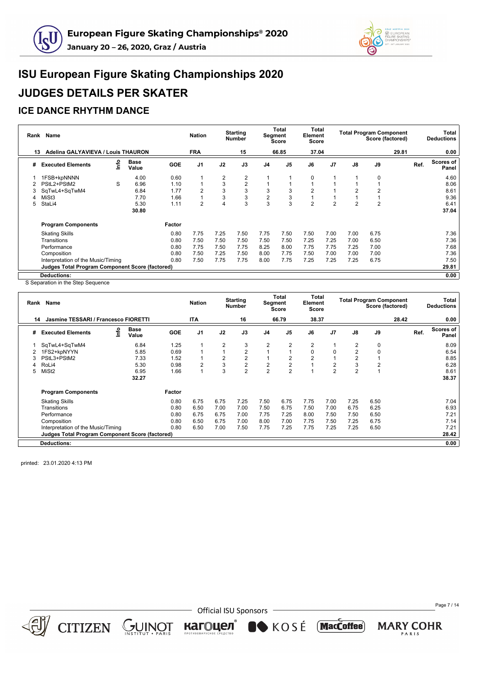



#### **ICE DANCE RHYTHM DANCE**

|    | Rank Name                                              |    |                      |            | <b>Nation</b>  |                | <b>Starting</b><br><b>Number</b> | Segment        | Total<br>Score | Total<br>Element<br>Score |                |                | <b>Total Program Component</b><br>Score (factored) |       | Total<br><b>Deductions</b> |
|----|--------------------------------------------------------|----|----------------------|------------|----------------|----------------|----------------------------------|----------------|----------------|---------------------------|----------------|----------------|----------------------------------------------------|-------|----------------------------|
| 13 | Adelina GALYAVIEVA / Louis THAURON                     |    |                      |            | <b>FRA</b>     |                | 15                               |                | 66.85          | 37.04                     |                |                |                                                    | 29.81 | 0.00                       |
| #  | <b>Executed Elements</b>                               | ۴ů | <b>Base</b><br>Value | <b>GOE</b> | J <sub>1</sub> | J2             | J3                               | J <sub>4</sub> | J <sub>5</sub> | J6                        | J <sub>7</sub> | J8             | J9                                                 |       | Scores of<br>Ref.<br>Panel |
|    | 1FSB+kpNNNN                                            |    | 4.00                 | 0.60       |                | $\overline{2}$ | 2                                | 1              |                | 0                         |                |                | $\Omega$                                           |       | 4.60                       |
|    | PStL2+PStM2                                            | S  | 6.96                 | 1.10       |                | 3              | $\overline{2}$                   | 1              |                |                           |                |                |                                                    |       | 8.06                       |
| 3  | SqTwL4+SqTwM4                                          |    | 6.84                 | 1.77       | 2              | 3              | 3                                | 3              | 3              | $\overline{2}$            |                | 2              | 2                                                  |       | 8.61                       |
|    | MiSt3                                                  |    | 7.70                 | 1.66       |                | 3              | 3                                | $\overline{2}$ | 3              |                           |                |                |                                                    |       | 9.36                       |
| 5  | StaLi4                                                 |    | 5.30                 | 1.11       | $\overline{2}$ | 4              | 3                                | 3              | 3              | $\overline{2}$            | $\overline{2}$ | $\overline{2}$ | $\overline{2}$                                     |       | 6.41                       |
|    |                                                        |    | 30.80                |            |                |                |                                  |                |                |                           |                |                |                                                    |       | 37.04                      |
|    | <b>Program Components</b>                              |    |                      | Factor     |                |                |                                  |                |                |                           |                |                |                                                    |       |                            |
|    | <b>Skating Skills</b>                                  |    |                      | 0.80       | 7.75           | 7.25           | 7.50                             | 7.75           | 7.50           | 7.50                      | 7.00           | 7.00           | 6.75                                               |       | 7.36                       |
|    | Transitions                                            |    |                      | 0.80       | 7.50           | 7.50           | 7.50                             | 7.50           | 7.50           | 7.25                      | 7.25           | 7.00           | 6.50                                               |       | 7.36                       |
|    | Performance                                            |    |                      | 0.80       | 7.75           | 7.50           | 7.75                             | 8.25           | 8.00           | 7.75                      | 7.75           | 7.25           | 7.00                                               |       | 7.68                       |
|    | Composition                                            |    |                      | 0.80       | 7.50           | 7.25           | 7.50                             | 8.00           | 7.75           | 7.50                      | 7.00           | 7.00           | 7.00                                               |       | 7.36                       |
|    | Interpretation of the Music/Timing                     |    |                      | 0.80       | 7.50           | 7.75           | 7.75                             | 8.00           | 7.75           | 7.25                      | 7.25           | 7.25           | 6.75                                               |       | 7.50                       |
|    | <b>Judges Total Program Component Score (factored)</b> |    |                      |            |                |                |                                  |                |                |                           |                |                |                                                    |       | 29.81                      |
|    | <b>Deductions:</b>                                     |    |                      |            |                |                |                                  |                |                |                           |                |                |                                                    |       | 0.00                       |

S Separation in the Step Sequence

|    | Rank Name                                              |    |                      |            | <b>Nation</b>  |                | <b>Starting</b><br><b>Number</b> | <b>Segment</b> | Total<br>Score | Total<br>Element<br><b>Score</b> |                |                | <b>Total Program Component</b><br>Score (factored) |       |      | Total<br><b>Deductions</b> |
|----|--------------------------------------------------------|----|----------------------|------------|----------------|----------------|----------------------------------|----------------|----------------|----------------------------------|----------------|----------------|----------------------------------------------------|-------|------|----------------------------|
| 14 | Jasmine TESSARI / Francesco FIORETTI                   |    |                      |            | ITA            |                | 16                               |                | 66.79          | 38.37                            |                |                |                                                    | 28.42 |      | 0.00                       |
| #  | <b>Executed Elements</b>                               | ۴ů | <b>Base</b><br>Value | <b>GOE</b> | J <sub>1</sub> | J2             | J3                               | J4             | J5             | J6                               | J <sub>7</sub> | J8             | J9                                                 |       | Ref. | Scores of<br>Panel         |
|    | SqTwL4+SqTwM4                                          |    | 6.84                 | 1.25       |                | 2              | 3                                | $\overline{2}$ | $\overline{2}$ | 2                                |                | 2              | 0                                                  |       |      | 8.09                       |
|    | 1FS2+kpNYYN                                            |    | 5.85                 | 0.69       |                | $\overline{1}$ | 2                                | 1              |                | 0                                | 0              | $\overline{2}$ | $\Omega$                                           |       |      | 6.54                       |
|    | PStL3+PStM2                                            |    | 7.33                 | 1.52       |                | 2              | 2                                | $\mathbf{1}$   | 2              | $\overline{2}$                   |                | 2              |                                                    |       |      | 8.85                       |
|    | RoLi4                                                  |    | 5.30                 | 0.98       | 2              | 3              | $\overline{c}$                   | $\overline{c}$ | $\overline{2}$ |                                  | 2              | 3              | 2                                                  |       |      | 6.28                       |
| 5  | MiSt <sub>2</sub>                                      |    | 6.95                 | 1.66       |                | 3              | $\overline{2}$                   | $\overline{2}$ | $\overline{2}$ |                                  | $\overline{2}$ | $\overline{2}$ |                                                    |       |      | 8.61                       |
|    |                                                        |    | 32.27                |            |                |                |                                  |                |                |                                  |                |                |                                                    |       |      | 38.37                      |
|    | <b>Program Components</b>                              |    |                      | Factor     |                |                |                                  |                |                |                                  |                |                |                                                    |       |      |                            |
|    | <b>Skating Skills</b>                                  |    |                      | 0.80       | 6.75           | 6.75           | 7.25                             | 7.50           | 6.75           | 7.75                             | 7.00           | 7.25           | 6.50                                               |       |      | 7.04                       |
|    | Transitions                                            |    |                      | 0.80       | 6.50           | 7.00           | 7.00                             | 7.50           | 6.75           | 7.50                             | 7.00           | 6.75           | 6.25                                               |       |      | 6.93                       |
|    | Performance                                            |    |                      | 0.80       | 6.75           | 6.75           | 7.00                             | 7.75           | 7.25           | 8.00                             | 7.50           | 7.50           | 6.50                                               |       |      | 7.21                       |
|    | Composition                                            |    |                      | 0.80       | 6.50           | 6.75           | 7.00                             | 8.00           | 7.00           | 7.75                             | 7.50           | 7.25           | 6.75                                               |       |      | 7.14                       |
|    | Interpretation of the Music/Timing                     |    |                      | 0.80       | 6.50           | 7.00           | 7.50                             | 7.75           | 7.25           | 7.75                             | 7.25           | 7.25           | 6.50                                               |       |      | 7.21                       |
|    | <b>Judges Total Program Component Score (factored)</b> |    |                      |            |                |                |                                  |                |                |                                  |                |                |                                                    |       |      | 28.42                      |
|    | <b>Deductions:</b>                                     |    |                      |            |                |                |                                  |                |                |                                  |                |                |                                                    |       |      | 0.00                       |

printed: 23.01.2020 4:13 PM



CITIZEN GUINOT

**Official ISU Sponsors** 

**SOSÉ** 

кагоцел

Page 7 / 14

**MARY COHR** PARIS

(MacCoffee)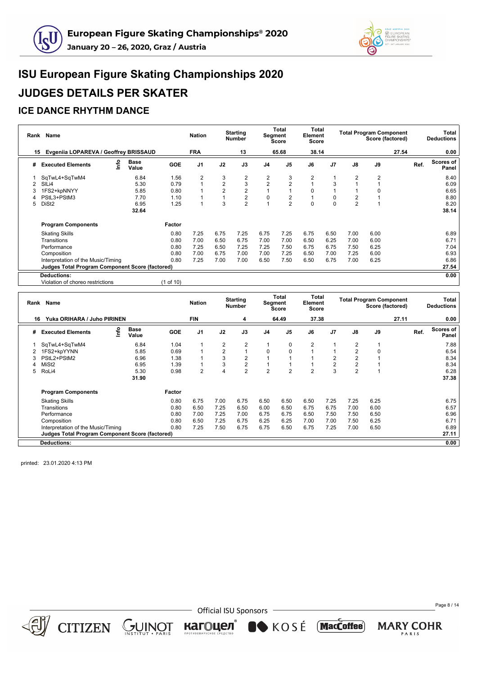



#### **ICE DANCE RHYTHM DANCE**

| Rank | Name                                            |                                    |            | <b>Nation</b>  |      | <b>Starting</b><br><b>Number</b> | Segment        | Total<br>Score | Total<br>Element<br>Score |                |                | <b>Total Program Component</b><br>Score (factored) |       |      | Total<br><b>Deductions</b> |
|------|-------------------------------------------------|------------------------------------|------------|----------------|------|----------------------------------|----------------|----------------|---------------------------|----------------|----------------|----------------------------------------------------|-------|------|----------------------------|
| 15   | Evgeniia LOPAREVA / Geoffrey BRISSAUD           |                                    |            | <b>FRA</b>     |      | 13                               |                | 65.68          | 38.14                     |                |                |                                                    | 27.54 |      | 0.00                       |
| #    | <b>Executed Elements</b>                        | <u>nfo</u><br><b>Base</b><br>Value | <b>GOE</b> | J <sub>1</sub> | J2   | J3                               | J <sub>4</sub> | J <sub>5</sub> | J6                        | J <sub>7</sub> | $\mathsf{J}8$  | J9                                                 |       | Ref. | Scores of<br>Panel         |
|      | SqTwL4+SqTwM4                                   | 6.84                               | 1.56       | 2              | 3    | 2                                | 2              | 3              | 2                         |                | 2              | $\overline{2}$                                     |       |      | 8.40                       |
|      | SIL <sub>i4</sub>                               | 5.30                               | 0.79       |                | 2    | 3                                | $\overline{2}$ | $\overline{2}$ |                           | 3              |                |                                                    |       |      | 6.09                       |
|      | 1FS2+kpNNYY                                     | 5.85                               | 0.80       |                | 2    | $\overline{2}$                   |                |                | $\Omega$                  |                |                | 0                                                  |       |      | 6.65                       |
|      | PStL3+PStM3                                     | 7.70                               | 1.10       |                |      | $\boldsymbol{2}$                 | $\mathbf 0$    | $\overline{2}$ |                           | 0              |                |                                                    |       |      | 8.80                       |
| 5.   | DiSt <sub>2</sub>                               | 6.95                               | 1.25       |                | 3    | $\overline{2}$                   |                | $\overline{2}$ | $\Omega$                  | $\Omega$       | $\overline{2}$ |                                                    |       |      | 8.20                       |
|      |                                                 | 32.64                              |            |                |      |                                  |                |                |                           |                |                |                                                    |       |      | 38.14                      |
|      | <b>Program Components</b>                       |                                    | Factor     |                |      |                                  |                |                |                           |                |                |                                                    |       |      |                            |
|      | <b>Skating Skills</b>                           |                                    | 0.80       | 7.25           | 6.75 | 7.25                             | 6.75           | 7.25           | 6.75                      | 6.50           | 7.00           | 6.00                                               |       |      | 6.89                       |
|      | Transitions                                     |                                    | 0.80       | 7.00           | 6.50 | 6.75                             | 7.00           | 7.00           | 6.50                      | 6.25           | 7.00           | 6.00                                               |       |      | 6.71                       |
|      | Performance                                     |                                    | 0.80       | 7.25           | 6.50 | 7.25                             | 7.25           | 7.50           | 6.75                      | 6.75           | 7.50           | 6.25                                               |       |      | 7.04                       |
|      | Composition                                     |                                    | 0.80       | 7.00           | 6.75 | 7.00                             | 7.00           | 7.25           | 6.50                      | 7.00           | 7.25           | 6.00                                               |       |      | 6.93                       |
|      | Interpretation of the Music/Timing              |                                    | 0.80       | 7.25           | 7.00 | 7.00                             | 6.50           | 7.50           | 6.50                      | 6.75           | 7.00           | 6.25                                               |       |      | 6.86                       |
|      | Judges Total Program Component Score (factored) |                                    |            |                |      |                                  |                |                |                           |                |                |                                                    |       |      | 27.54                      |
|      | <b>Deductions:</b>                              |                                    |            |                |      |                                  |                |                |                           |                |                |                                                    |       |      | 0.00                       |

Violation of choreo restrictions (1 of 10)

| Rank | Name                                                   |      |                      |            | <b>Nation</b>  |                | <b>Starting</b><br>Number |                | Total<br><b>Segment</b><br><b>Score</b> | Total<br>Element<br><b>Score</b> |                |                | <b>Total Program Component</b><br>Score (factored) |       | Total<br><b>Deductions</b> |
|------|--------------------------------------------------------|------|----------------------|------------|----------------|----------------|---------------------------|----------------|-----------------------------------------|----------------------------------|----------------|----------------|----------------------------------------------------|-------|----------------------------|
|      | Yuka ORIHARA / Juho PIRINEN<br>16                      |      |                      |            | <b>FIN</b>     |                | 4                         |                | 64.49                                   | 37.38                            |                |                |                                                    | 27.11 | 0.00                       |
| #    | <b>Executed Elements</b>                               | Info | <b>Base</b><br>Value | <b>GOE</b> | J1             | J2             | J3                        | J <sub>4</sub> | J <sub>5</sub>                          | J6                               | J <sub>7</sub> | J8             | J9                                                 | Ref.  | <b>Scores of</b><br>Panel  |
|      | SqTwL4+SqTwM4                                          |      | 6.84                 | 1.04       |                | 2              | 2                         |                | 0                                       | $\overline{2}$                   |                | 2              |                                                    |       | 7.88                       |
|      | 1FS2+kpYYNN                                            |      | 5.85                 | 0.69       |                | $\overline{2}$ |                           | 0              | 0                                       |                                  |                | $\overline{2}$ | 0                                                  |       | 6.54                       |
|      | PStL2+PStM2                                            |      | 6.96                 | 1.38       |                | 3              | $\overline{2}$            |                |                                         |                                  | $\overline{2}$ | 2              |                                                    |       | 8.34                       |
|      | MiSt <sub>2</sub>                                      |      | 6.95                 | 1.39       |                | 3              | $\overline{2}$            |                |                                         |                                  | $\overline{2}$ | $\overline{2}$ |                                                    |       | 8.34                       |
| 5    | RoLi4                                                  |      | 5.30                 | 0.98       | $\overline{2}$ | 4              | $\overline{2}$            | $\overline{2}$ | $\overline{2}$                          | $\overline{2}$                   | 3              | $\overline{2}$ |                                                    |       | 6.28                       |
|      |                                                        |      | 31.90                |            |                |                |                           |                |                                         |                                  |                |                |                                                    |       | 37.38                      |
|      | <b>Program Components</b>                              |      |                      | Factor     |                |                |                           |                |                                         |                                  |                |                |                                                    |       |                            |
|      | <b>Skating Skills</b>                                  |      |                      | 0.80       | 6.75           | 7.00           | 6.75                      | 6.50           | 6.50                                    | 6.50                             | 7.25           | 7.25           | 6.25                                               |       | 6.75                       |
|      | Transitions                                            |      |                      | 0.80       | 6.50           | 7.25           | 6.50                      | 6.00           | 6.50                                    | 6.75                             | 6.75           | 7.00           | 6.00                                               |       | 6.57                       |
|      | Performance                                            |      |                      | 0.80       | 7.00           | 7.25           | 7.00                      | 6.75           | 6.75                                    | 6.50                             | 7.50           | 7.50           | 6.50                                               |       | 6.96                       |
|      | Composition                                            |      |                      | 0.80       | 6.50           | 7.25           | 6.75                      | 6.25           | 6.25                                    | 7.00                             | 7.00           | 7.50           | 6.25                                               |       | 6.71                       |
|      | Interpretation of the Music/Timing                     |      |                      | 0.80       | 7.25           | 7.50           | 6.75                      | 6.75           | 6.50                                    | 6.75                             | 7.25           | 7.00           | 6.50                                               |       | 6.89                       |
|      | <b>Judges Total Program Component Score (factored)</b> |      |                      |            |                |                |                           |                |                                         |                                  |                |                |                                                    |       | 27.11                      |
|      | <b>Deductions:</b>                                     |      |                      |            |                |                |                           |                |                                         |                                  |                |                |                                                    |       | 0.00                       |

printed: 23.01.2020 4:13 PM



CITIZEN CUINOT

- Official ISU Sponsors

кагоцел®

KOSÉ MacCoffee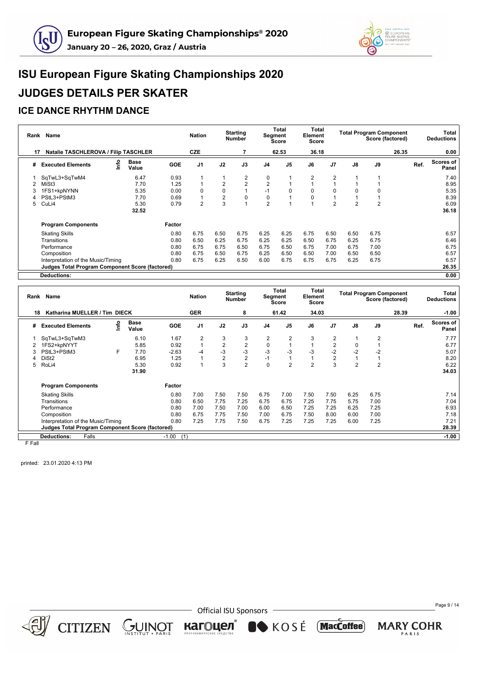



#### **ICE DANCE RHYTHM DANCE**

|    | Rank Name                                              |    |                      |            | <b>Nation</b>  |                | <b>Starting</b><br><b>Number</b> |                | Total<br>Segment<br>Score | <b>Total</b><br>Element<br>Score |                |      | <b>Total Program Component</b><br>Score (factored) |       |      | Total<br><b>Deductions</b> |
|----|--------------------------------------------------------|----|----------------------|------------|----------------|----------------|----------------------------------|----------------|---------------------------|----------------------------------|----------------|------|----------------------------------------------------|-------|------|----------------------------|
| 17 | <b>Natalie TASCHLEROVA / Filip TASCHLER</b>            |    |                      |            | <b>CZE</b>     |                |                                  |                | 62.53                     | 36.18                            |                |      |                                                    | 26.35 |      | 0.00                       |
| #  | <b>Executed Elements</b>                               | ۴o | <b>Base</b><br>Value | <b>GOE</b> | J <sub>1</sub> | J2             | J3                               | J <sub>4</sub> | J <sub>5</sub>            | J6                               | J <sub>7</sub> | J8   | J9                                                 |       | Ref. | <b>Scores of</b><br>Panel  |
|    | SqTwL3+SqTwM4                                          |    | 6.47                 | 0.93       |                |                | 2                                | 0              |                           | $\overline{2}$                   | 2              |      |                                                    |       |      | 7.40                       |
|    | MiSt <sub>3</sub>                                      |    | 7.70                 | 1.25       |                | $\overline{2}$ | $\overline{2}$                   | $\overline{2}$ |                           |                                  |                |      |                                                    |       |      | 8.95                       |
|    | 1FS1+kpNYNN                                            |    | 5.35                 | 0.00       | $\Omega$       | $\Omega$       |                                  | $-1$           | $\Omega$                  | $\Omega$                         | $\Omega$       |      |                                                    |       |      | 5.35                       |
|    | PStL3+PStM3                                            |    | 7.70                 | 0.69       |                | 2              | 0                                | 0              |                           | 0                                |                |      |                                                    |       |      | 8.39                       |
| 5  | CuLi4                                                  |    | 5.30                 | 0.79       | $\mathfrak{p}$ | 3              |                                  | $\overline{2}$ |                           |                                  | $\mathfrak{p}$ | 2    | $\overline{2}$                                     |       |      | 6.09                       |
|    |                                                        |    | 32.52                |            |                |                |                                  |                |                           |                                  |                |      |                                                    |       |      | 36.18                      |
|    | <b>Program Components</b>                              |    |                      | Factor     |                |                |                                  |                |                           |                                  |                |      |                                                    |       |      |                            |
|    | <b>Skating Skills</b>                                  |    |                      | 0.80       | 6.75           | 6.50           | 6.75                             | 6.25           | 6.25                      | 6.75                             | 6.50           | 6.50 | 6.75                                               |       |      | 6.57                       |
|    | Transitions                                            |    |                      | 0.80       | 6.50           | 6.25           | 6.75                             | 6.25           | 6.25                      | 6.50                             | 6.75           | 6.25 | 6.75                                               |       |      | 6.46                       |
|    | Performance                                            |    |                      | 0.80       | 6.75           | 6.75           | 6.50                             | 6.75           | 6.50                      | 6.75                             | 7.00           | 6.75 | 7.00                                               |       |      | 6.75                       |
|    | Composition                                            |    |                      | 0.80       | 6.75           | 6.50           | 6.75                             | 6.25           | 6.50                      | 6.50                             | 7.00           | 6.50 | 6.50                                               |       |      | 6.57                       |
|    | Interpretation of the Music/Timing                     |    |                      | 0.80       | 6.75           | 6.25           | 6.50                             | 6.00           | 6.75                      | 6.75                             | 6.75           | 6.25 | 6.75                                               |       |      | 6.57                       |
|    | <b>Judges Total Program Component Score (factored)</b> |    |                      |            |                |                |                                  |                |                           |                                  |                |      |                                                    |       |      | 26.35                      |
|    | Deductions:                                            |    |                      |            |                |                |                                  |                |                           |                                  |                |      |                                                    |       |      | 0.00                       |

|         | Rank Name                                              |      |                      |                | <b>Nation</b>  |                | <b>Starting</b><br><b>Number</b> |                | Total<br>Segment<br><b>Score</b> | Total<br>Element<br><b>Score</b> |                |                | <b>Total Program Component</b><br>Score (factored) |       | Total<br><b>Deductions</b> |
|---------|--------------------------------------------------------|------|----------------------|----------------|----------------|----------------|----------------------------------|----------------|----------------------------------|----------------------------------|----------------|----------------|----------------------------------------------------|-------|----------------------------|
| 18      | Katharina MUELLER / Tim DIECK                          |      |                      |                | <b>GER</b>     |                | 8                                |                | 61.42                            | 34.03                            |                |                |                                                    | 28.39 | $-1.00$                    |
| #       | <b>Executed Elements</b>                               | ١nfo | <b>Base</b><br>Value | <b>GOE</b>     | J <sub>1</sub> | J2             | J3                               | J <sub>4</sub> | J <sub>5</sub>                   | J6                               | J <sub>7</sub> | J8             | J9                                                 | Ref.  | Scores of<br>Panel         |
|         | SqTwL3+SqTwM3                                          |      | 6.10                 | 1.67           | 2              | 3              | 3                                | 2              | $\overline{2}$                   | 3                                | $\overline{2}$ |                | $\overline{2}$                                     |       | 7.77                       |
|         | 1FS2+kpNYYT                                            |      | 5.85                 | 0.92           |                | 2              | $\overline{2}$                   | 0              | 1                                |                                  | $\overline{2}$ |                |                                                    |       | 6.77                       |
| 3       | PStL3+PStM3                                            | F.   | 7.70                 | $-2.63$        | -4             | -3             | $-3$                             | -3             | $-3$                             | -3                               | $-2$           | $-2$           | $-2$                                               |       | 5.07                       |
| 4       | DiSt <sub>2</sub>                                      |      | 6.95                 | 1.25           |                | $\overline{2}$ | $\overline{2}$                   | $-1$           | 1                                |                                  | $\overline{2}$ |                |                                                    |       | 8.20                       |
| 5       | RoLi4                                                  |      | 5.30                 | 0.92           |                | 3              | $\overline{2}$                   | $\mathbf 0$    | $\overline{2}$                   | $\overline{2}$                   | 3              | $\overline{2}$ | $\overline{2}$                                     |       | 6.22                       |
|         |                                                        |      | 31.90                |                |                |                |                                  |                |                                  |                                  |                |                |                                                    |       | 34.03                      |
|         | <b>Program Components</b>                              |      |                      | Factor         |                |                |                                  |                |                                  |                                  |                |                |                                                    |       |                            |
|         | <b>Skating Skills</b>                                  |      |                      | 0.80           | 7.00           | 7.50           | 7.50                             | 6.75           | 7.00                             | 7.50                             | 7.50           | 6.25           | 6.75                                               |       | 7.14                       |
|         | Transitions                                            |      |                      | 0.80           | 6.50           | 7.75           | 7.25                             | 6.75           | 6.75                             | 7.25                             | 7.75           | 5.75           | 7.00                                               |       | 7.04                       |
|         | Performance                                            |      |                      | 0.80           | 7.00           | 7.50           | 7.00                             | 6.00           | 6.50                             | 7.25                             | 7.25           | 6.25           | 7.25                                               |       | 6.93                       |
|         | Composition                                            |      |                      | 0.80           | 6.75           | 7.75           | 7.50                             | 7.00           | 6.75                             | 7.50                             | 8.00           | 6.00           | 7.00                                               |       | 7.18                       |
|         | Interpretation of the Music/Timing                     |      |                      | 0.80           | 7.25           | 7.75           | 7.50                             | 6.75           | 7.25                             | 7.25                             | 7.25           | 6.00           | 7.25                                               |       | 7.21                       |
|         | <b>Judges Total Program Component Score (factored)</b> |      |                      |                |                |                |                                  |                |                                  |                                  |                |                |                                                    |       | 28.39                      |
|         | <b>Deductions:</b><br>Falls                            |      |                      | $-1.00$<br>(1) |                |                |                                  |                |                                  |                                  |                |                |                                                    |       | $-1.00$                    |
| E. E.AU |                                                        |      |                      |                |                |                |                                  |                |                                  |                                  |                |                |                                                    |       |                            |

F Fall

printed: 23.01.2020 4:13 PM



CITIZEN GUINOT

**Official ISU Sponsors** 

кагоцел®

KOSÉ MacCoffee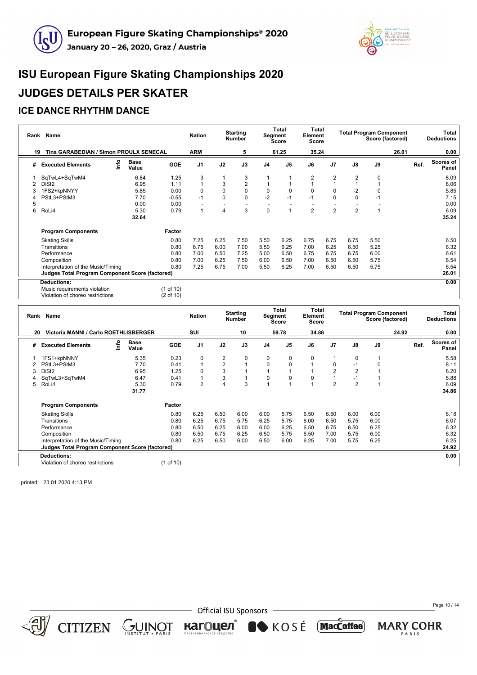



#### **ICE DANCE RHYTHM DANCE**

| Rank | Name                                                   |                      |            | <b>Nation</b>  |      | <b>Starting</b><br><b>Number</b> |                | <b>Total</b><br>Segment<br>Score | <b>Total</b><br>Element<br>Score |                |                | <b>Total Program Component</b> | Score (factored) |      | Total<br><b>Deductions</b> |
|------|--------------------------------------------------------|----------------------|------------|----------------|------|----------------------------------|----------------|----------------------------------|----------------------------------|----------------|----------------|--------------------------------|------------------|------|----------------------------|
| 19   | Tina GARABEDIAN / Simon PROULX SENECAL                 |                      |            | <b>ARM</b>     |      | 5                                |                | 61.25                            | 35.24                            |                |                |                                | 26.01            |      | 0.00                       |
| #    | lnfo<br><b>Executed Elements</b>                       | <b>Base</b><br>Value | <b>GOE</b> | J <sub>1</sub> | J2   | J3                               | J <sub>4</sub> | J <sub>5</sub>                   | J6                               | J <sub>7</sub> | J8             | J9                             |                  | Ref. | Scores of<br>Panel         |
|      | SqTwL4+SqTwM4                                          | 6.84                 | 1.25       | 3              |      | 3                                |                |                                  | 2                                | 2              | 2              | 0                              |                  |      | 8.09                       |
| 2    | DiSt <sub>2</sub>                                      | 6.95                 | 1.11       |                | 3    | $\overline{2}$                   |                |                                  |                                  |                |                |                                |                  |      | 8.06                       |
|      | 1FS2+kpNNYY                                            | 5.85                 | 0.00       | $\Omega$       | 0    | $\mathbf 0$                      | $\mathbf 0$    | 0                                |                                  | 0              | $-2$           | 0                              |                  |      | 5.85                       |
|      | PStL3+PStM3                                            | 7.70                 | $-0.55$    | $-1$           | 0    | $\mathbf 0$                      | $-2$           | $-1$                             | $-1$                             | $\Omega$       | 0              | $-1$                           |                  |      | 7.15                       |
| 5    |                                                        | 0.00                 | 0.00       |                |      |                                  |                |                                  |                                  |                |                |                                |                  |      | 0.00                       |
| 6    | RoLi4                                                  | 5.30                 | 0.79       |                | 4    | 3                                | $\mathbf 0$    | $\mathbf{1}$                     | $\overline{2}$                   | $\overline{2}$ | $\overline{2}$ |                                |                  |      | 6.09                       |
|      |                                                        | 32.64                |            |                |      |                                  |                |                                  |                                  |                |                |                                |                  |      | 35.24                      |
|      | <b>Program Components</b>                              |                      | Factor     |                |      |                                  |                |                                  |                                  |                |                |                                |                  |      |                            |
|      | <b>Skating Skills</b>                                  |                      | 0.80       | 7.25           | 6.25 | 7.50                             | 5.50           | 6.25                             | 6.75                             | 6.75           | 6.75           | 5.50                           |                  |      | 6.50                       |
|      | Transitions                                            |                      | 0.80       | 6.75           | 6.00 | 7.00                             | 5.50           | 6.25                             | 7.00                             | 6.25           | 6.50           | 5.25                           |                  |      | 6.32                       |
|      | Performance                                            |                      | 0.80       | 7.00           | 6.50 | 7.25                             | 5.00           | 6.50                             | 6.75                             | 6.75           | 6.75           | 6.00                           |                  |      | 6.61                       |
|      | Composition                                            |                      | 0.80       | 7.00           | 6.25 | 7.50                             | 6.00           | 6.50                             | 7.00                             | 6.50           | 6.50           | 5.75                           |                  |      | 6.54                       |
|      | Interpretation of the Music/Timing                     |                      | 0.80       | 7.25           | 6.75 | 7.00                             | 5.50           | 6.25                             | 7.00                             | 6.50           | 6.50           | 5.75                           |                  |      | 6.54                       |
|      | <b>Judges Total Program Component Score (factored)</b> |                      |            |                |      |                                  |                |                                  |                                  |                |                |                                |                  |      | 26.01                      |
|      | <b>Deductions:</b>                                     |                      |            |                |      |                                  |                |                                  |                                  |                |                |                                |                  |      | 0.00                       |
|      | Music requirements violation                           |                      | (1 of 10)  |                |      |                                  |                |                                  |                                  |                |                |                                |                  |      |                            |
|      | Violation of choreo restrictions                       |                      | (2 of 10)  |                |      |                                  |                |                                  |                                  |                |                |                                |                  |      |                            |

| Rank | Name                                               |    |                      |            | <b>Nation</b>  |      | <b>Starting</b><br><b>Number</b> | Segment        | Total<br><b>Score</b> | Total<br>Element<br><b>Score</b> |                |                | <b>Total Program Component</b><br>Score (factored) |       |      | Total<br><b>Deductions</b> |
|------|----------------------------------------------------|----|----------------------|------------|----------------|------|----------------------------------|----------------|-----------------------|----------------------------------|----------------|----------------|----------------------------------------------------|-------|------|----------------------------|
|      | <b>Victoria MANNI / Carlo ROETHLISBERGER</b><br>20 |    |                      |            | SUI            |      | 10                               |                | 59.78                 | 34.86                            |                |                |                                                    | 24.92 |      | 0.00                       |
| #    | <b>Executed Elements</b>                           | ۴o | <b>Base</b><br>Value | <b>GOE</b> | J1             | J2   | J3                               | J <sub>4</sub> | J5                    | J6                               | J <sub>7</sub> | $\mathsf{J}8$  | J9                                                 |       | Ref. | Scores of<br>Panel         |
|      | 1FS1+kpNNNY                                        |    | 5.35                 | 0.23       | 0              | 2    | 0                                | 0              | 0                     | 0                                |                | 0              |                                                    |       |      | 5.58                       |
|      | PStL3+PStM3                                        |    | 7.70                 | 0.41       |                | 2    |                                  | 0              | $\mathbf 0$           |                                  | 0              | -1             |                                                    |       |      | 8.11                       |
| 3    | DiSt <sub>2</sub>                                  |    | 6.95                 | 1.25       | $\Omega$       | 3    |                                  |                |                       |                                  | $\overline{2}$ |                |                                                    |       |      | 8.20                       |
|      | SqTwL3+SqTwM4                                      |    | 6.47                 | 0.41       |                | 3    |                                  | $\mathbf 0$    | $\mathbf 0$           | 0                                |                | -1             |                                                    |       |      | 6.88                       |
| 5.   | RoLi4                                              |    | 5.30                 | 0.79       | $\overline{2}$ | 4    | 3                                |                |                       |                                  | $\overline{2}$ | $\overline{2}$ |                                                    |       |      | 6.09                       |
|      |                                                    |    | 31.77                |            |                |      |                                  |                |                       |                                  |                |                |                                                    |       |      | 34.86                      |
|      | <b>Program Components</b>                          |    |                      | Factor     |                |      |                                  |                |                       |                                  |                |                |                                                    |       |      |                            |
|      | <b>Skating Skills</b>                              |    |                      | 0.80       | 6.25           | 6.50 | 6.00                             | 6.00           | 5.75                  | 6.50                             | 6.50           | 6.00           | 6.00                                               |       |      | 6.18                       |
|      | Transitions                                        |    |                      | 0.80       | 6.25           | 6.75 | 5.75                             | 6.25           | 5.75                  | 6.00                             | 6.50           | 5.75           | 6.00                                               |       |      | 6.07                       |
|      | Performance                                        |    |                      | 0.80       | 6.50           | 6.25 | 6.00                             | 6.00           | 6.25                  | 6.50                             | 6.75           | 6.50           | 6.25                                               |       |      | 6.32                       |
|      | Composition                                        |    |                      | 0.80       | 6.50           | 6.75 | 6.25                             | 6.50           | 5.75                  | 6.50                             | 7.00           | 5.75           | 6.00                                               |       |      | 6.32                       |
|      | Interpretation of the Music/Timing                 |    |                      | 0.80       | 6.25           | 6.50 | 6.00                             | 6.50           | 6.00                  | 6.25                             | 7.00           | 5.75           | 6.25                                               |       |      | 6.25                       |
|      | Judges Total Program Component Score (factored)    |    |                      |            |                |      |                                  |                |                       |                                  |                |                |                                                    |       |      | 24.92                      |
|      | <b>Deductions:</b>                                 |    |                      |            |                |      |                                  |                |                       |                                  |                |                |                                                    |       |      | 0.00                       |
|      | Violation of choreo restrictions                   |    |                      | (1 of 10)  |                |      |                                  |                |                       |                                  |                |                |                                                    |       |      |                            |

printed: 23.01.2020 4:13 PM



**Official ISU Sponsors** 

кагоцел®

KOSÉ MacCoffee

Page 10 / 14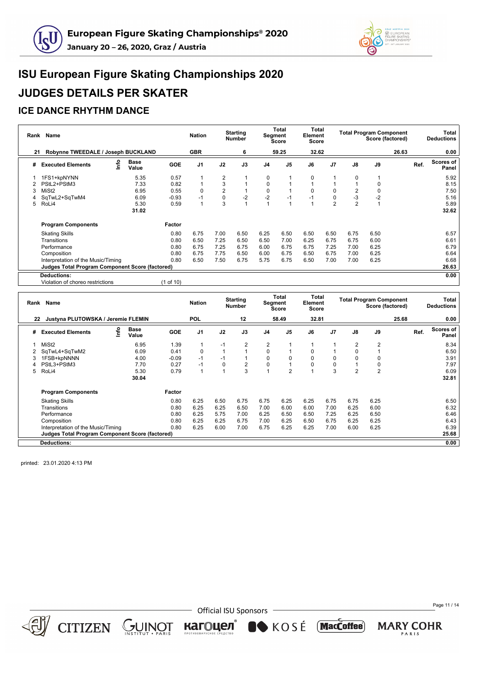



#### **ICE DANCE RHYTHM DANCE**

|    | Rank Name                                       |                      |            | <b>Nation</b>  |                | <b>Starting</b><br><b>Number</b> |                | Total<br>Segment<br><b>Score</b> | Total<br>Element<br>Score |                |                | <b>Total Program Component</b><br>Score (factored) |       | Total<br><b>Deductions</b> |
|----|-------------------------------------------------|----------------------|------------|----------------|----------------|----------------------------------|----------------|----------------------------------|---------------------------|----------------|----------------|----------------------------------------------------|-------|----------------------------|
| 21 | Robynne TWEEDALE / Joseph BUCKLAND              |                      |            | <b>GBR</b>     |                | 6                                |                | 59.25                            | 32.62                     |                |                |                                                    | 26.63 | 0.00                       |
| #  | ۴o<br><b>Executed Elements</b>                  | <b>Base</b><br>Value | <b>GOE</b> | J <sub>1</sub> | J2             | J3                               | J <sub>4</sub> | J <sub>5</sub>                   | J6                        | J <sub>7</sub> | J8             | J9                                                 |       | Scores of<br>Ref.<br>Panel |
|    | 1FS1+kpNYNN                                     | 5.35                 | 0.57       |                | $\overline{2}$ |                                  | 0              |                                  | $\Omega$                  |                | $\Omega$       |                                                    |       | 5.92                       |
|    | PStL2+PStM3                                     | 7.33                 | 0.82       |                | 3              |                                  | 0              |                                  |                           |                |                |                                                    |       | 8.15                       |
| 3  | MiSt <sub>2</sub>                               | 6.95                 | 0.55       | 0              | 2              |                                  | 0              |                                  | $\Omega$                  | 0              | 2              | 0                                                  |       | 7.50                       |
|    | SqTwL2+SqTwM4                                   | 6.09                 | $-0.93$    | $-1$           | 0              | $-2$                             | $-2$           | $-1$                             | $-1$                      | 0              | -3             | $-2$                                               |       | 5.16                       |
| 5  | RoLi4                                           | 5.30                 | 0.59       |                | 3              |                                  |                |                                  |                           | $\overline{2}$ | $\overline{2}$ |                                                    |       | 5.89                       |
|    |                                                 | 31.02                |            |                |                |                                  |                |                                  |                           |                |                |                                                    |       | 32.62                      |
|    | <b>Program Components</b>                       |                      | Factor     |                |                |                                  |                |                                  |                           |                |                |                                                    |       |                            |
|    | <b>Skating Skills</b>                           |                      | 0.80       | 6.75           | 7.00           | 6.50                             | 6.25           | 6.50                             | 6.50                      | 6.50           | 6.75           | 6.50                                               |       | 6.57                       |
|    | Transitions                                     |                      | 0.80       | 6.50           | 7.25           | 6.50                             | 6.50           | 7.00                             | 6.25                      | 6.75           | 6.75           | 6.00                                               |       | 6.61                       |
|    | Performance                                     |                      | 0.80       | 6.75           | 7.25           | 6.75                             | 6.00           | 6.75                             | 6.75                      | 7.25           | 7.00           | 6.25                                               |       | 6.79                       |
|    | Composition                                     |                      | 0.80       | 6.75           | 7.75           | 6.50                             | 6.00           | 6.75                             | 6.50                      | 6.75           | 7.00           | 6.25                                               |       | 6.64                       |
|    | Interpretation of the Music/Timing              |                      | 0.80       | 6.50           | 7.50           | 6.75                             | 5.75           | 6.75                             | 6.50                      | 7.00           | 7.00           | 6.25                                               |       | 6.68                       |
|    | Judges Total Program Component Score (factored) |                      |            |                |                |                                  |                |                                  |                           |                |                |                                                    |       | 26.63                      |
|    | <b>Deductions:</b>                              |                      |            |                |                |                                  |                |                                  |                           |                |                |                                                    |       | 0.00                       |
|    | .                                               |                      | .          |                |                |                                  |                |                                  |                           |                |                |                                                    |       |                            |

Violation of choreo restrictions (1 of 10)

| Rank | Name                                                   |      |               |            | <b>Nation</b> |          | <b>Starting</b><br><b>Number</b> | <b>Segment</b> | <b>Total</b><br>Score | Total<br>Element<br>Score |                |                | <b>Total Program Component</b><br>Score (factored) |       |      | Total<br><b>Deductions</b> |
|------|--------------------------------------------------------|------|---------------|------------|---------------|----------|----------------------------------|----------------|-----------------------|---------------------------|----------------|----------------|----------------------------------------------------|-------|------|----------------------------|
|      | Justyna PLUTOWSKA / Jeremie FLEMIN<br>22               |      |               |            | <b>POL</b>    |          | 12                               |                | 58.49                 | 32.81                     |                |                |                                                    | 25.68 |      | 0.00                       |
| #    | <b>Executed Elements</b>                               | lnfo | Base<br>Value | <b>GOE</b> | J1            | J2       | J3                               | J <sub>4</sub> | J <sub>5</sub>        | J6                        | J <sub>7</sub> | J8             | J9                                                 |       | Ref. | Scores of<br>Panel         |
|      | MiSt <sub>2</sub>                                      |      | 6.95          | 1.39       |               | $-1$     | 2                                | 2              |                       |                           |                | 2              | 2                                                  |       |      | 8.34                       |
| 2    | SqTwL4+SqTwM2                                          |      | 6.09          | 0.41       | $\Omega$      |          |                                  | 0              |                       | 0                         |                | $\Omega$       |                                                    |       |      | 6.50                       |
|      | 1FSB+kpNNNN                                            |      | 4.00          | $-0.09$    | $-1$          | $-1$     |                                  | 0              | $\Omega$              | $\Omega$                  | $\Omega$       |                | $\Omega$                                           |       |      | 3.91                       |
|      | PStL3+PStM3                                            |      | 7.70          | 0.27       |               | $\Omega$ | $\overline{2}$                   | 0              |                       | $\Omega$                  | 0              |                | 0                                                  |       |      | 7.97                       |
| 5    | RoLi4                                                  |      | 5.30          | 0.79       |               |          | 3                                |                | $\overline{2}$        |                           | 3              | $\overline{2}$ | $\overline{2}$                                     |       |      | 6.09                       |
|      |                                                        |      | 30.04         |            |               |          |                                  |                |                       |                           |                |                |                                                    |       |      | 32.81                      |
|      | <b>Program Components</b>                              |      |               | Factor     |               |          |                                  |                |                       |                           |                |                |                                                    |       |      |                            |
|      | <b>Skating Skills</b>                                  |      |               | 0.80       | 6.25          | 6.50     | 6.75                             | 6.75           | 6.25                  | 6.25                      | 6.75           | 6.75           | 6.25                                               |       |      | 6.50                       |
|      | Transitions                                            |      |               | 0.80       | 6.25          | 6.25     | 6.50                             | 7.00           | 6.00                  | 6.00                      | 7.00           | 6.25           | 6.00                                               |       |      | 6.32                       |
|      | Performance                                            |      |               | 0.80       | 6.25          | 5.75     | 7.00                             | 6.25           | 6.50                  | 6.50                      | 7.25           | 6.25           | 6.50                                               |       |      | 6.46                       |
|      | Composition                                            |      |               | 0.80       | 6.25          | 6.25     | 6.75                             | 7.00           | 6.25                  | 6.50                      | 6.75           | 6.25           | 6.25                                               |       |      | 6.43                       |
|      | Interpretation of the Music/Timing                     |      |               | 0.80       | 6.25          | 6.00     | 7.00                             | 6.75           | 6.25                  | 6.25                      | 7.00           | 6.00           | 6.25                                               |       |      | 6.39                       |
|      | <b>Judges Total Program Component Score (factored)</b> |      |               |            |               |          |                                  |                |                       |                           |                |                |                                                    |       |      | 25.68                      |
|      | <b>Deductions:</b>                                     |      |               |            |               |          |                                  |                |                       |                           |                |                |                                                    |       |      | 0.00                       |

printed: 23.01.2020 4:13 PM



 $CITIZEN \simeq \bigcup_{\text{NSTITUT}} \text{NISTITUT}$ 

- Official ISU Sponsors

кагоцел®

KOSÉ MacCoffee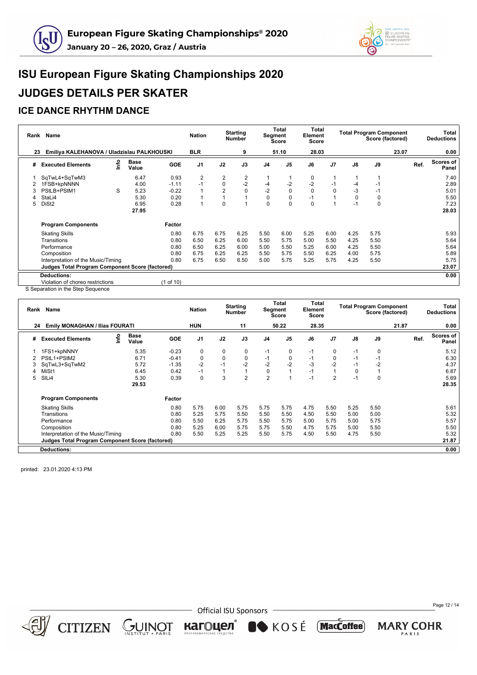



#### **ICE DANCE RHYTHM DANCE**

|    | Rank Name                                              |   |                      |            | <b>Nation</b>  |                | <b>Starting</b><br>Number | Segment | Total<br><b>Score</b> | Total<br>Element<br><b>Score</b> |                |      | <b>Total Program Component</b><br>Score (factored) |       |      | Total<br><b>Deductions</b> |
|----|--------------------------------------------------------|---|----------------------|------------|----------------|----------------|---------------------------|---------|-----------------------|----------------------------------|----------------|------|----------------------------------------------------|-------|------|----------------------------|
| 23 | Emiliya KALEHANOVA / Uladzislau PALKHOUSKI             |   |                      |            | <b>BLR</b>     |                | 9                         |         | 51.10                 | 28.03                            |                |      |                                                    | 23.07 |      | 0.00                       |
| #  | <b>Executed Elements</b>                               | ۴ | <b>Base</b><br>Value | <b>GOE</b> | J <sub>1</sub> | J2             | J3                        | J4      | J <sub>5</sub>        | J6                               | J <sub>7</sub> | J8   | J9                                                 |       | Ref. | Scores of<br>Panel         |
|    | SqTwL4+SqTwM3                                          |   | 6.47                 | 0.93       | 2              | 2              | $\overline{2}$            |         |                       | 0                                |                |      |                                                    |       |      | 7.40                       |
|    | 1FSB+kpNNNN                                            |   | 4.00                 | $-1.11$    | $-1$           | 0              | $-2$                      | -4      | $-2$                  | $-2$                             | $-1$           | -4   | $-1$                                               |       |      | 2.89                       |
| 3  | PStLB+PStM1                                            | S | 5.23                 | $-0.22$    |                | $\overline{2}$ | 0                         | $-2$    | $\mathbf 0$           | $\Omega$                         | $\Omega$       | $-3$ | $-1$                                               |       |      | 5.01                       |
|    | StaLi4                                                 |   | 5.30                 | 0.20       |                |                |                           | 0       | 0                     | $-1$                             |                | 0    | 0                                                  |       |      | 5.50                       |
| 5  | DiSt <sub>2</sub>                                      |   | 6.95                 | 0.28       |                | 0              | $\overline{A}$            | 0       | $\Omega$              | $\Omega$                         |                | -1   | $\Omega$                                           |       |      | 7.23                       |
|    |                                                        |   | 27.95                |            |                |                |                           |         |                       |                                  |                |      |                                                    |       |      | 28.03                      |
|    | <b>Program Components</b>                              |   |                      | Factor     |                |                |                           |         |                       |                                  |                |      |                                                    |       |      |                            |
|    | <b>Skating Skills</b>                                  |   |                      | 0.80       | 6.75           | 6.75           | 6.25                      | 5.50    | 6.00                  | 5.25                             | 6.00           | 4.25 | 5.75                                               |       |      | 5.93                       |
|    | Transitions                                            |   |                      | 0.80       | 6.50           | 6.25           | 6.00                      | 5.50    | 5.75                  | 5.00                             | 5.50           | 4.25 | 5.50                                               |       |      | 5.64                       |
|    | Performance                                            |   |                      | 0.80       | 6.50           | 6.25           | 6.00                      | 5.00    | 5.50                  | 5.25                             | 6.00           | 4.25 | 5.50                                               |       |      | 5.64                       |
|    | Composition                                            |   |                      | 0.80       | 6.75           | 6.25           | 6.25                      | 5.50    | 5.75                  | 5.50                             | 6.25           | 4.00 | 5.75                                               |       |      | 5.89                       |
|    | Interpretation of the Music/Timing                     |   |                      | 0.80       | 6.75           | 6.50           | 6.50                      | 5.00    | 5.75                  | 5.25                             | 5.75           | 4.25 | 5.50                                               |       |      | 5.75                       |
|    | <b>Judges Total Program Component Score (factored)</b> |   |                      |            |                |                |                           |         |                       |                                  |                |      |                                                    |       |      | 23.07                      |
|    | <b>Deductions:</b>                                     |   |                      |            |                |                |                           |         |                       |                                  |                |      |                                                    |       |      | 0.00                       |
|    | Violation of choreo restrictions                       |   |                      | (1 of 10)  |                |                |                           |         |                       |                                  |                |      |                                                    |       |      |                            |

S Separation in the Step Sequence

| Rank | Name                                                   |      |                      |            | <b>Nation</b>  |             | <b>Starting</b><br>Number | Segment        | Total<br>Score | Total<br>Element<br><b>Score</b> |                |      | <b>Total Program Component</b><br>Score (factored) |       |      | Total<br><b>Deductions</b> |
|------|--------------------------------------------------------|------|----------------------|------------|----------------|-------------|---------------------------|----------------|----------------|----------------------------------|----------------|------|----------------------------------------------------|-------|------|----------------------------|
| 24   | <b>Emily MONAGHAN / Ilias FOURATI</b>                  |      |                      |            | <b>HUN</b>     |             | 11                        |                | 50.22          | 28.35                            |                |      |                                                    | 21.87 |      | 0.00                       |
| #    | <b>Executed Elements</b>                               | Info | <b>Base</b><br>Value | <b>GOE</b> | J <sub>1</sub> | J2          | J3                        | J <sub>4</sub> | J <sub>5</sub> | J6                               | J <sub>7</sub> | J8   | J9                                                 |       | Ref. | <b>Scores of</b><br>Panel  |
|      | 1FS1+kpNNNY                                            |      | 5.35                 | $-0.23$    | 0              | $\mathbf 0$ | 0                         | $-1$           | 0              | $-1$                             | 0              | $-1$ | 0                                                  |       |      | 5.12                       |
|      | PStL1+PStM2                                            |      | 6.71                 | $-0.41$    | 0              | 0           | 0                         | $-1$           | 0              | $-1$                             | 0              | $-1$ | $-1$                                               |       |      | 6.30                       |
| 3    | SqTwL3+SqTwM2                                          |      | 5.72                 | $-1.35$    | $-2$           | $-1$        | $-2$                      | $-2$           | $-2$           | $-3$                             | $-2$           | $-1$ | $-2$                                               |       |      | 4.37                       |
|      | MiSt1                                                  |      | 6.45                 | 0.42       | $-1$           |             |                           | 0              |                | $-1$                             |                | 0    |                                                    |       |      | 6.87                       |
| 5    | SIL <sub>i4</sub>                                      |      | 5.30                 | 0.39       | 0              | 3           | $\overline{2}$            | $\overline{2}$ |                | $-1$                             | 2              | $-1$ | 0                                                  |       |      | 5.69                       |
|      |                                                        |      | 29.53                |            |                |             |                           |                |                |                                  |                |      |                                                    |       |      | 28.35                      |
|      | <b>Program Components</b>                              |      |                      | Factor     |                |             |                           |                |                |                                  |                |      |                                                    |       |      |                            |
|      | <b>Skating Skills</b>                                  |      |                      | 0.80       | 5.75           | 6.00        | 5.75                      | 5.75           | 5.75           | 4.75                             | 5.50           | 5.25 | 5.50                                               |       |      | 5.61                       |
|      | Transitions                                            |      |                      | 0.80       | 5.25           | 5.75        | 5.50                      | 5.50           | 5.50           | 4.50                             | 5.50           | 5.00 | 5.00                                               |       |      | 5.32                       |
|      | Performance                                            |      |                      | 0.80       | 5.50           | 6.25        | 5.75                      | 5.50           | 5.75           | 5.00                             | 5.75           | 5.00 | 5.75                                               |       |      | 5.57                       |
|      | Composition                                            |      |                      | 0.80       | 5.25           | 6.00        | 5.75                      | 5.75           | 5.50           | 4.75                             | 5.75           | 5.00 | 5.50                                               |       |      | 5.50                       |
|      | Interpretation of the Music/Timing                     |      |                      | 0.80       | 5.50           | 5.25        | 5.25                      | 5.50           | 5.75           | 4.50                             | 5.50           | 4.75 | 5.50                                               |       |      | 5.32                       |
|      | <b>Judges Total Program Component Score (factored)</b> |      |                      |            |                |             |                           |                |                |                                  |                |      |                                                    |       |      | 21.87                      |
|      | <b>Deductions:</b>                                     |      |                      |            |                |             |                           |                |                |                                  |                |      |                                                    |       |      | 0.00                       |

printed: 23.01.2020 4:13 PM



 $CITIZEN \simeq \bigcup_{\text{NSTITUT}} \text{NISTITUT}$ 

- Official ISU Sponsors

KOSÉ MacCoffee)

кагоцел®

Page 12 / 14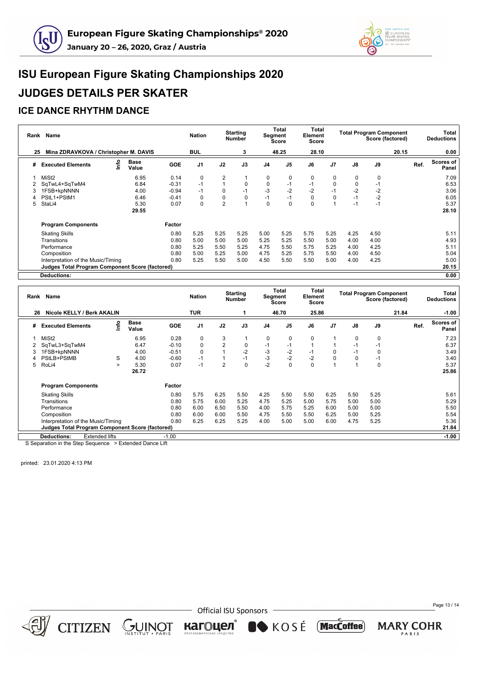



#### **ICE DANCE RHYTHM DANCE**

| Rank | Name                                                   |    |                      |            | <b>Nation</b>  |                | <b>Starting</b><br><b>Number</b> |                | Total<br>Segment<br>Score | Total<br>Element<br>Score |                |          | <b>Total Program Component</b><br>Score (factored) |       |      | Total<br><b>Deductions</b> |
|------|--------------------------------------------------------|----|----------------------|------------|----------------|----------------|----------------------------------|----------------|---------------------------|---------------------------|----------------|----------|----------------------------------------------------|-------|------|----------------------------|
| 25   | Mina ZDRAVKOVA / Christopher M. DAVIS                  |    |                      |            | <b>BUL</b>     |                | 3                                |                | 48.25                     | 28.10                     |                |          |                                                    | 20.15 |      | 0.00                       |
| #    | <b>Executed Elements</b>                               | ۴o | <b>Base</b><br>Value | <b>GOE</b> | J <sub>1</sub> | J2             | J3                               | J <sub>4</sub> | J <sub>5</sub>            | J6                        | J <sub>7</sub> | J8       | J9                                                 |       | Ref. | <b>Scores of</b><br>Panel  |
|      | MiSt <sub>2</sub>                                      |    | 6.95                 | 0.14       | $\Omega$       | 2              |                                  | 0              | 0                         | 0                         | 0              | 0        | 0                                                  |       |      | 7.09                       |
|      | SqTwL4+SqTwM4                                          |    | 6.84                 | $-0.31$    | $-1$           |                | $\mathbf 0$                      | $\mathbf 0$    | $-1$                      | $-1$                      | $\Omega$       | $\Omega$ | $-1$                                               |       |      | 6.53                       |
| 3    | 1FSB+kpNNNN                                            |    | 4.00                 | $-0.94$    | $-1$           | 0              | $-1$                             | $-3$           | $-2$                      | $-2$                      | $-1$           | $-2$     | $-2$                                               |       |      | 3.06                       |
|      | PStL1+PStM1                                            |    | 6.46                 | $-0.41$    | 0              | 0              | 0                                | $-1$           | $-1$                      | 0                         | $\mathbf 0$    | -1       | $-2$                                               |       |      | 6.05                       |
| 5    | StaLi4                                                 |    | 5.30                 | 0.07       | $\Omega$       | $\overline{2}$ |                                  | 0              | $\Omega$                  | $\Omega$                  |                | $-1$     | $-1$                                               |       |      | 5.37                       |
|      |                                                        |    | 29.55                |            |                |                |                                  |                |                           |                           |                |          |                                                    |       |      | 28.10                      |
|      | <b>Program Components</b>                              |    |                      | Factor     |                |                |                                  |                |                           |                           |                |          |                                                    |       |      |                            |
|      | <b>Skating Skills</b>                                  |    |                      | 0.80       | 5.25           | 5.25           | 5.25                             | 5.00           | 5.25                      | 5.75                      | 5.25           | 4.25     | 4.50                                               |       |      | 5.11                       |
|      | Transitions                                            |    |                      | 0.80       | 5.00           | 5.00           | 5.00                             | 5.25           | 5.25                      | 5.50                      | 5.00           | 4.00     | 4.00                                               |       |      | 4.93                       |
|      | Performance                                            |    |                      | 0.80       | 5.25           | 5.50           | 5.25                             | 4.75           | 5.50                      | 5.75                      | 5.25           | 4.00     | 4.25                                               |       |      | 5.11                       |
|      | Composition                                            |    |                      | 0.80       | 5.00           | 5.25           | 5.00                             | 4.75           | 5.25                      | 5.75                      | 5.50           | 4.00     | 4.50                                               |       |      | 5.04                       |
|      | Interpretation of the Music/Timing                     |    |                      | 0.80       | 5.25           | 5.50           | 5.00                             | 4.50           | 5.50                      | 5.50                      | 5.00           | 4.00     | 4.25                                               |       |      | 5.00                       |
|      | <b>Judges Total Program Component Score (factored)</b> |    |                      |            |                |                |                                  |                |                           |                           |                |          |                                                    |       |      | 20.15                      |
|      | <b>Deductions:</b>                                     |    |                      |            |                |                |                                  |                |                           |                           |                |          |                                                    |       |      | 0.00                       |

|   | Rank Name                                              |        |                      |            | <b>Nation</b>  |                | <b>Starting</b><br><b>Number</b> |                | Total<br>Segment<br><b>Score</b> | Total<br>Element<br>Score |                |      | <b>Total Program Component</b><br>Score (factored) |       |      | <b>Total</b><br><b>Deductions</b> |
|---|--------------------------------------------------------|--------|----------------------|------------|----------------|----------------|----------------------------------|----------------|----------------------------------|---------------------------|----------------|------|----------------------------------------------------|-------|------|-----------------------------------|
|   | Nicole KELLY / Berk AKALIN<br>26                       |        |                      |            | <b>TUR</b>     |                |                                  |                | 46.70                            | 25.86                     |                |      |                                                    | 21.84 |      | $-1.00$                           |
| # | <b>Executed Elements</b>                               | ۴o     | <b>Base</b><br>Value | <b>GOE</b> | J <sub>1</sub> | J2             | J3                               | J <sub>4</sub> | J <sub>5</sub>                   | J6                        | J <sub>7</sub> | J8   | J9                                                 |       | Ref. | <b>Scores of</b><br>Panel         |
|   | MiSt <sub>2</sub>                                      |        | 6.95                 | 0.28       | $\Omega$       | 3              |                                  | 0              | 0                                | 0                         |                | 0    | 0                                                  |       |      | 7.23                              |
|   | SqTwL3+SqTwM4                                          |        | 6.47                 | $-0.10$    | $\Omega$       | $\overline{2}$ | $\mathbf 0$                      | $-1$           | $-1$                             |                           |                | -1   | $-1$                                               |       |      | 6.37                              |
| 3 | 1FSB+kpNNNN                                            |        | 4.00                 | $-0.51$    | $\Omega$       |                | $-2$                             | $-3$           | $-2$                             | $-1$                      | 0              | -1   | 0                                                  |       |      | 3.49                              |
| 4 | PStLB+PStMB                                            | S      | 4.00                 | $-0.60$    | $-1$           |                | $-1$                             | $-3$           | $-2$                             | $-2$                      | 0              |      | $-1$                                               |       |      | 3.40                              |
| 5 | RoLi4                                                  | $\geq$ | 5.30                 | 0.07       | $-1$           | $\overline{2}$ | $\mathbf 0$                      | $-2$           | $\mathbf 0$                      | 0                         |                |      | 0                                                  |       |      | 5.37                              |
|   |                                                        |        | 26.72                |            |                |                |                                  |                |                                  |                           |                |      |                                                    |       |      | 25.86                             |
|   | <b>Program Components</b>                              |        |                      | Factor     |                |                |                                  |                |                                  |                           |                |      |                                                    |       |      |                                   |
|   | <b>Skating Skills</b>                                  |        |                      | 0.80       | 5.75           | 6.25           | 5.50                             | 4.25           | 5.50                             | 5.50                      | 6.25           | 5.50 | 5.25                                               |       |      | 5.61                              |
|   | Transitions                                            |        |                      | 0.80       | 5.75           | 6.00           | 5.25                             | 4.75           | 5.25                             | 5.00                      | 5.75           | 5.00 | 5.00                                               |       |      | 5.29                              |
|   | Performance                                            |        |                      | 0.80       | 6.00           | 6.50           | 5.50                             | 4.00           | 5.75                             | 5.25                      | 6.00           | 5.00 | 5.00                                               |       |      | 5.50                              |
|   | Composition                                            |        |                      | 0.80       | 6.00           | 6.00           | 5.50                             | 4.75           | 5.50                             | 5.50                      | 6.25           | 5.00 | 5.25                                               |       |      | 5.54                              |
|   | Interpretation of the Music/Timing                     |        |                      | 0.80       | 6.25           | 6.25           | 5.25                             | 4.00           | 5.00                             | 5.00                      | 6.00           | 4.75 | 5.25                                               |       |      | 5.36                              |
|   | <b>Judges Total Program Component Score (factored)</b> |        |                      |            |                |                |                                  |                |                                  |                           |                |      |                                                    |       |      | 21.84                             |
|   | <b>Extended lifts</b><br><b>Deductions:</b>            |        |                      | $-1.00$    |                |                |                                  |                |                                  |                           |                |      |                                                    |       |      | $-1.00$                           |

S Separation in the Step Sequence > Extended Dance Lift

 $CITIZEN \simeq \bigcup_{\text{NSTITUT}} \text{NISTITUT}$ 

printed: 23.01.2020 4:13 PM



- Official ISU Sponsors

KOSÉ MacCoffee)

кагоцел®